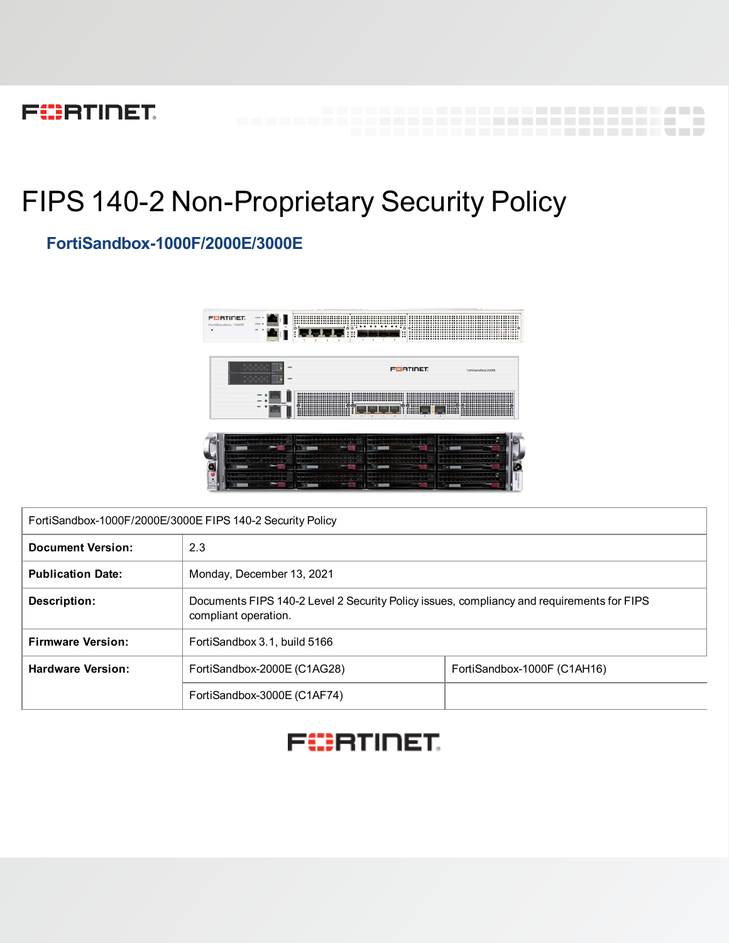# **FEERTINET**

# FIPS 140-2 Non-Proprietary Security Policy

# **FortiSandbox-1000F/2000E/3000E**



---------------------------

 $\sim 100$ 

\_\_\_\_\_\_\_\_\_\_\_\_\_\_\_\_\_\_\_\_\_\_\_\_\_\_\_\_\_\_\_\_

| FortiSandbox-1000F/2000E/3000E FIPS 140-2 Security Policy |                                                                                                                   |  |  |  |  |  |
|-----------------------------------------------------------|-------------------------------------------------------------------------------------------------------------------|--|--|--|--|--|
| <b>Document Version:</b>                                  | 2.3                                                                                                               |  |  |  |  |  |
| <b>Publication Date:</b>                                  | Monday, December 13, 2021                                                                                         |  |  |  |  |  |
| Description:                                              | Documents FIPS 140-2 Level 2 Security Policy issues, compliancy and requirements for FIPS<br>compliant operation. |  |  |  |  |  |
| <b>Firmware Version:</b>                                  | FortiSandbox 3.1, build 5166                                                                                      |  |  |  |  |  |
| <b>Hardware Version:</b>                                  | FortiSandbox-2000E (C1AG28)<br>FortiSandbox-1000F (C1AH16)                                                        |  |  |  |  |  |
|                                                           | FortiSandbox-3000E (C1AF74)                                                                                       |  |  |  |  |  |

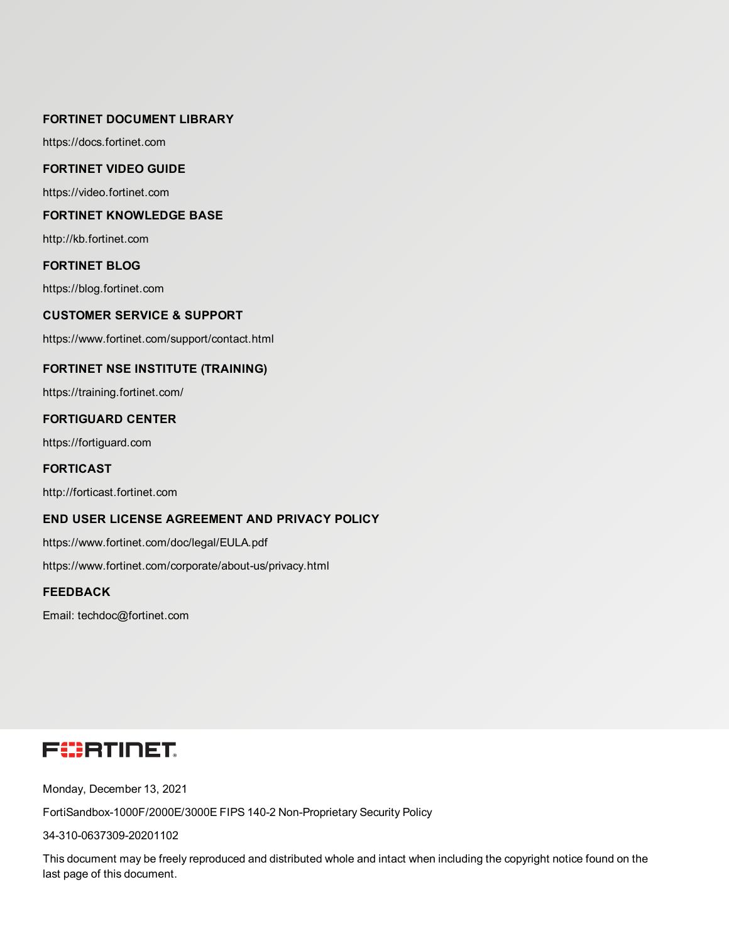#### **FORTINET DOCUMENT LIBRARY**

[https://docs.fortinet.com](https://docs.fortinet.com/)

#### **FORTINET VIDEO GUIDE**

[https://video.fortinet.com](https://video.fortinet.com/)

#### **FORTINET KNOWLEDGE BASE**

[http://kb.fortinet.com](http://kb.fortinet.com/)

#### **FORTINET BLOG**

[https://blog.fortinet.com](https://blog.fortinet.com/)

#### **CUSTOMER SERVICE & SUPPORT**

[https://www.fortinet.com/support/contact.html](https://support.fortinet.com/)

#### **FORTINET NSE INSTITUTE (TRAINING)**

<https://training.fortinet.com/>

#### **FORTIGUARD CENTER**

[https://fortiguard.com](https://fortiguard.com/)

#### **FORTICAST**

[http://forticast.fortinet.com](http://forticast.fortinet.com/)

#### **END USER LICENSE AGREEMENT AND PRIVACY POLICY**

<https://www.fortinet.com/doc/legal/EULA.pdf>

<https://www.fortinet.com/corporate/about-us/privacy.html>

#### **FEEDBACK**

Email: [techdoc@fortinet.com](mailto:techdoc@fortinet.com)

# **FEERTINET**

Monday, December 13, 2021

FortiSandbox-1000F/2000E/3000E FIPS 140-2 Non-Proprietary Security Policy

34-310-0637309-20201102

This document may be freely reproduced and distributed whole and intact when including the copyright notice found on the last page of this document.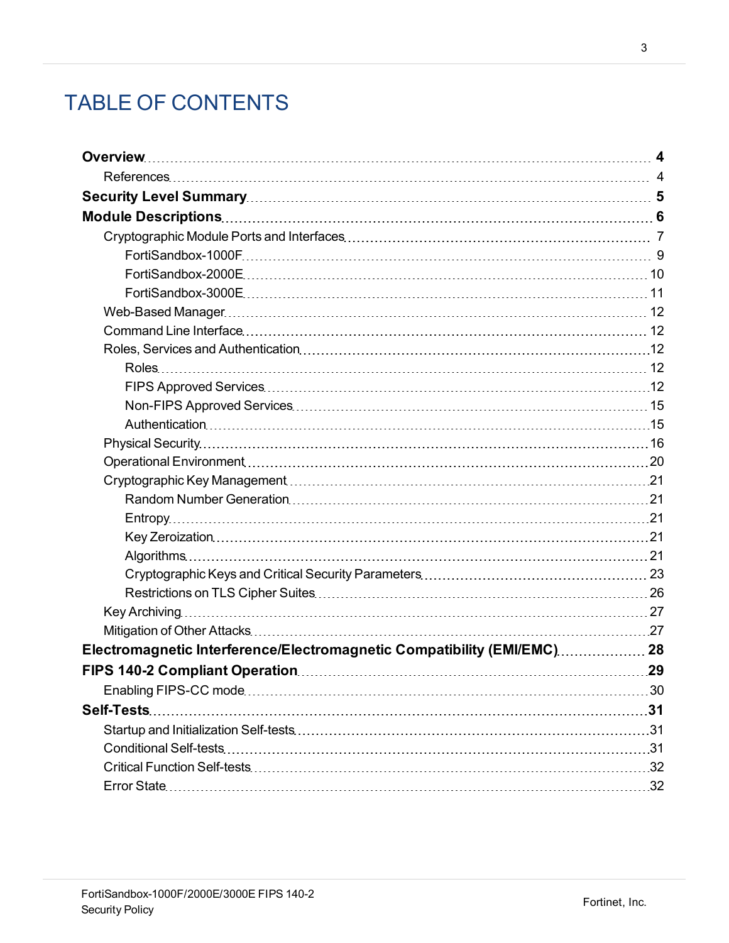# TABLE OF CONTENTS

| Electromagnetic Interference/Electromagnetic Compatibility (EMI/EMC) 28 |  |
|-------------------------------------------------------------------------|--|
|                                                                         |  |
|                                                                         |  |
|                                                                         |  |
|                                                                         |  |
|                                                                         |  |
|                                                                         |  |
|                                                                         |  |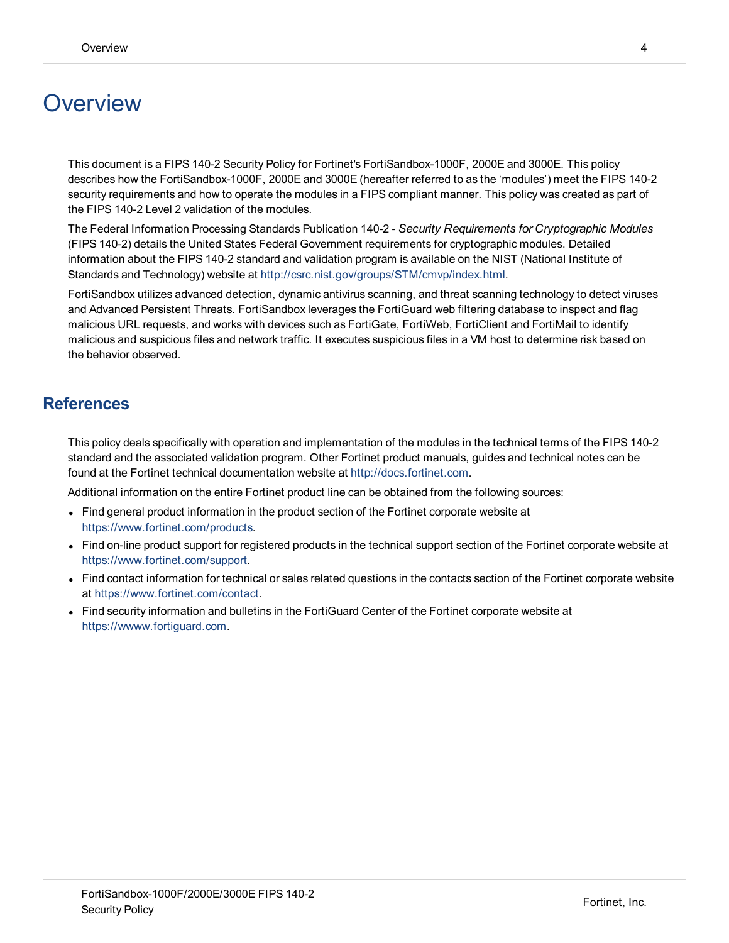# <span id="page-3-0"></span>**Overview**

This document is a FIPS 140-2 Security Policy for Fortinet's FortiSandbox-1000F, 2000E and 3000E. This policy describes how the FortiSandbox-1000F, 2000E and 3000E (hereafter referred to as the 'modules') meet the FIPS 140-2 security requirements and how to operate the modules in a FIPS compliant manner. This policy was created as part of the FIPS 140-2 Level 2 validation of the modules.

The Federal Information Processing Standards Publication 140-2 - *Security Requirements for Cryptographic Modules* (FIPS 140-2) details the United States Federal Government requirements for cryptographic modules. Detailed information about the FIPS 140-2 standard and validation program is available on the NIST (National Institute of Standards and Technology) website at <http://csrc.nist.gov/groups/STM/cmvp/index.html>.

FortiSandbox utilizes advanced detection, dynamic antivirus scanning, and threat scanning technology to detect viruses and Advanced Persistent Threats. FortiSandbox leverages the FortiGuard web filtering database to inspect and flag malicious URL requests, and works with devices such as FortiGate, FortiWeb, FortiClient and FortiMail to identify malicious and suspicious files and network traffic. It executes suspicious files in a VM host to determine risk based on the behavior observed.

## <span id="page-3-1"></span>**References**

This policy deals specifically with operation and implementation of the modules in the technical terms of the FIPS 140-2 standard and the associated validation program. Other Fortinet product manuals, guides and technical notes can be found at the Fortinet technical documentation website at [http://docs.fortinet.com.](http://docs.fortinet.com/)

Additional information on the entire Fortinet product line can be obtained from the following sources:

- Find general product information in the product section of the Fortinet corporate website at [https://www.fortinet.com/products](http://www.fortinet.com/products).
- Find on-line product support for registered products in the technical support section of the Fortinet corporate website at [https://www.fortinet.com/support.](http://www.fortinet.com/support)
- Find contact information for technical or sales related questions in the contacts section of the Fortinet corporate website at [https://www.fortinet.com/contact.](http://www.fortinet.com/contact)
- Find security information and bulletins in the FortiGuard Center of the Fortinet corporate website at [https://wwww.fortiguard.com](http://fortiguard.com/).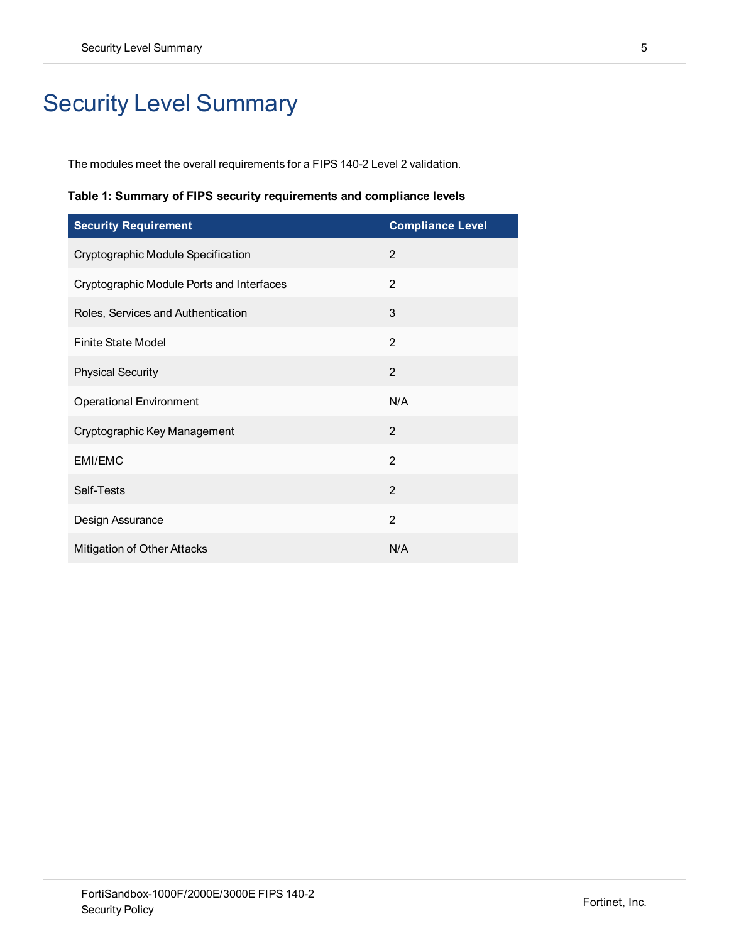# <span id="page-4-0"></span>Security Level Summary

The modules meet the overall requirements for a FIPS 140-2 Level 2 validation.

**Table 1: Summary of FIPS security requirements and compliance levels**

| <b>Security Requirement</b>               | <b>Compliance Level</b> |
|-------------------------------------------|-------------------------|
| Cryptographic Module Specification        | 2                       |
| Cryptographic Module Ports and Interfaces | $\overline{2}$          |
| Roles, Services and Authentication        | 3                       |
| <b>Finite State Model</b>                 | 2                       |
| <b>Physical Security</b>                  | $\overline{2}$          |
| <b>Operational Environment</b>            | N/A                     |
| Cryptographic Key Management              | $\overline{2}$          |
| EMI/EMC                                   | $\mathfrak{p}$          |
| Self-Tests                                | $\mathfrak{p}$          |
| Design Assurance                          | $\overline{2}$          |
| Mitigation of Other Attacks               | N/A                     |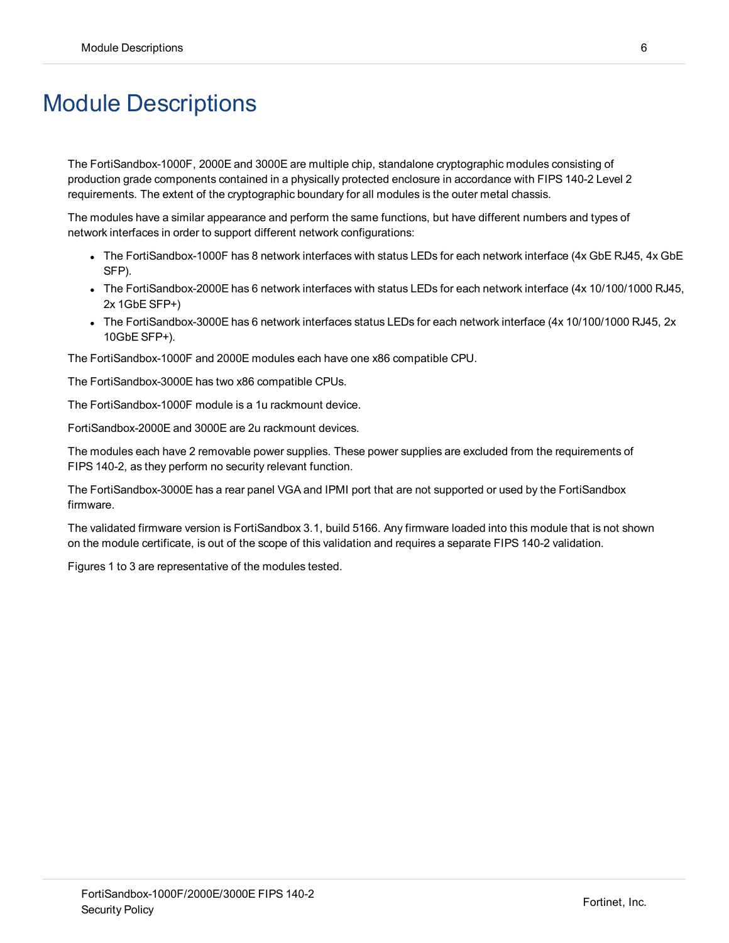# <span id="page-5-0"></span>Module Descriptions

The FortiSandbox-1000F, 2000E and 3000E are multiple chip, standalone cryptographic modules consisting of production grade components contained in a physically protected enclosure in accordance with FIPS 140-2 Level 2 requirements. The extent of the cryptographic boundary for all modules is the outer metal chassis.

The modules have a similar appearance and perform the same functions, but have different numbers and types of network interfaces in order to support different network configurations:

- The FortiSandbox-1000F has 8 network interfaces with status LEDs for each network interface (4x GbE RJ45, 4x GbE SFP).
- The FortiSandbox-2000E has 6 network interfaces with status LEDs for each network interface (4x 10/100/1000 RJ45, 2x 1GbE SFP+)
- The FortiSandbox-3000E has 6 network interfaces status LEDs for each network interface (4x 10/100/1000 RJ45, 2x 10GbE SFP+).

The FortiSandbox-1000F and 2000E modules each have one x86 compatible CPU.

The FortiSandbox-3000E has two x86 compatible CPUs.

The FortiSandbox-1000F module is a 1u rackmount device.

FortiSandbox-2000E and 3000E are 2u rackmount devices.

The modules each have 2 removable power supplies. These power supplies are excluded from the requirements of FIPS 140-2, as they perform no security relevant function.

The FortiSandbox-3000E has a rear panel VGA and IPMI port that are not supported or used by the FortiSandbox firmware.

The validated firmware version is FortiSandbox 3.1, build 5166. Any firmware loaded into this module that is not shown on the module certificate, is out of the scope of this validation and requires a separate FIPS 140-2 validation.

Figures 1 to 3 are representative of the modules tested.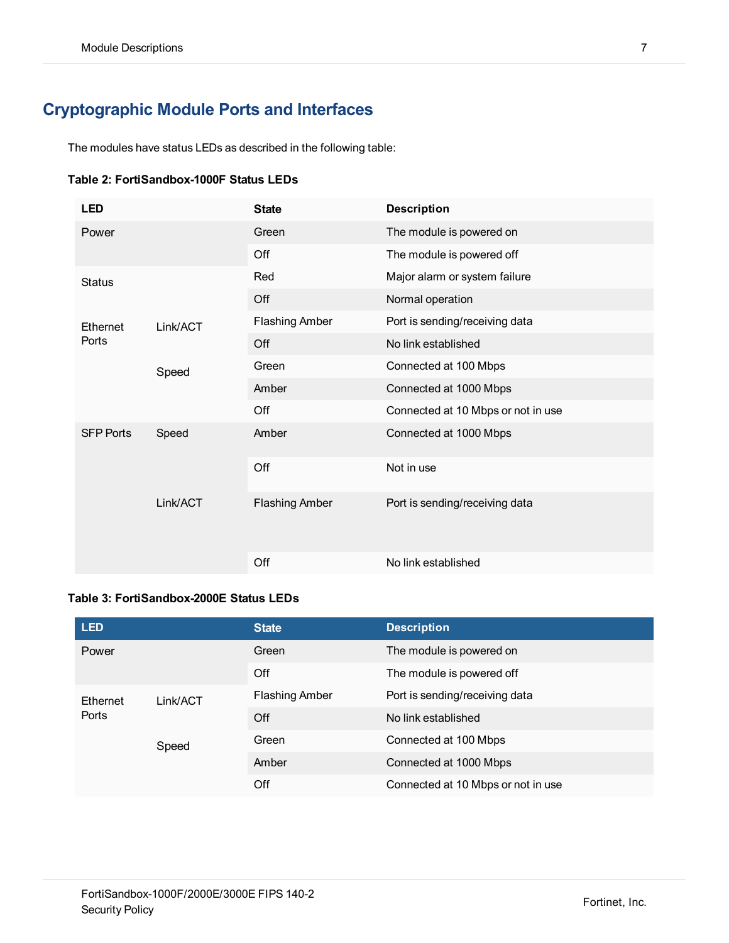# <span id="page-6-0"></span>**Cryptographic Module Ports and Interfaces**

The modules have status LEDs as described in the following table:

|  | Table 2: FortiSandbox-1000F Status LEDs |  |  |
|--|-----------------------------------------|--|--|
|--|-----------------------------------------|--|--|

| <b>LED</b>       |          | <b>State</b>          | <b>Description</b>                 |
|------------------|----------|-----------------------|------------------------------------|
| Power            |          | Green                 | The module is powered on           |
|                  |          | Off                   | The module is powered off          |
| <b>Status</b>    |          | Red                   | Major alarm or system failure      |
|                  |          | Off                   | Normal operation                   |
| Ethernet         | Link/ACT | <b>Flashing Amber</b> | Port is sending/receiving data     |
| Ports            |          | Off                   | No link established                |
|                  | Speed    | Green                 | Connected at 100 Mbps              |
|                  |          | Amber                 | Connected at 1000 Mbps             |
|                  |          | Off                   | Connected at 10 Mbps or not in use |
| <b>SFP Ports</b> | Speed    | Amber                 | Connected at 1000 Mbps             |
|                  |          | Off                   | Not in use                         |
|                  | Link/ACT | <b>Flashing Amber</b> | Port is sending/receiving data     |
|                  |          | Off                   | No link established                |

#### **Table 3: FortiSandbox-2000E Status LEDs**

| <b>LED</b>        |          | <b>State</b>          | <b>Description</b>                 |
|-------------------|----------|-----------------------|------------------------------------|
| Power             |          | Green                 | The module is powered on           |
|                   |          | Off                   | The module is powered off          |
| Ethernet<br>Ports | Link/ACT | <b>Flashing Amber</b> | Port is sending/receiving data     |
|                   |          | Off                   | No link established                |
|                   | Speed    | Green                 | Connected at 100 Mbps              |
|                   |          | Amber                 | Connected at 1000 Mbps             |
|                   |          | Off                   | Connected at 10 Mbps or not in use |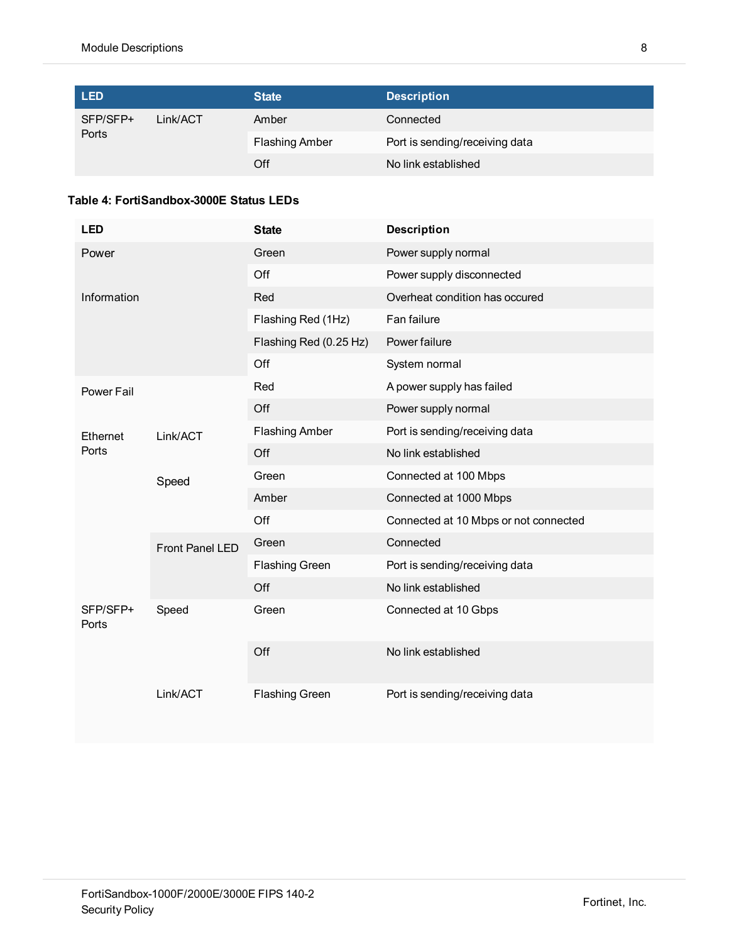| <b>LED</b>        |          | <b>State</b>          | <b>Description</b>             |
|-------------------|----------|-----------------------|--------------------------------|
| SFP/SFP+<br>Ports | Link/ACT | Amber                 | Connected                      |
|                   |          | <b>Flashing Amber</b> | Port is sending/receiving data |
|                   |          | Off                   | No link established            |

#### **Table 4: FortiSandbox-3000E Status LEDs**

| <b>LED</b>        |                        | <b>State</b>           | <b>Description</b>                    |
|-------------------|------------------------|------------------------|---------------------------------------|
| Power             |                        | Green                  | Power supply normal                   |
|                   |                        | Off                    | Power supply disconnected             |
| Information       |                        | Red                    | Overheat condition has occured        |
|                   |                        | Flashing Red (1Hz)     | Fan failure                           |
|                   |                        | Flashing Red (0.25 Hz) | Power failure                         |
|                   |                        | Off                    | System normal                         |
| Power Fail        |                        | Red                    | A power supply has failed             |
|                   |                        | Off                    | Power supply normal                   |
| Ethernet          | Link/ACT               | <b>Flashing Amber</b>  | Port is sending/receiving data        |
| Ports             |                        | Off                    | No link established                   |
|                   | Speed                  | Green                  | Connected at 100 Mbps                 |
|                   |                        | Amber                  | Connected at 1000 Mbps                |
|                   |                        | Off                    | Connected at 10 Mbps or not connected |
|                   | <b>Front Panel LED</b> | Green                  | Connected                             |
|                   |                        | <b>Flashing Green</b>  | Port is sending/receiving data        |
|                   |                        | Off                    | No link established                   |
| SFP/SFP+<br>Ports | Speed                  | Green                  | Connected at 10 Gbps                  |
|                   |                        | Off                    | No link established                   |
|                   | Link/ACT               | <b>Flashing Green</b>  | Port is sending/receiving data        |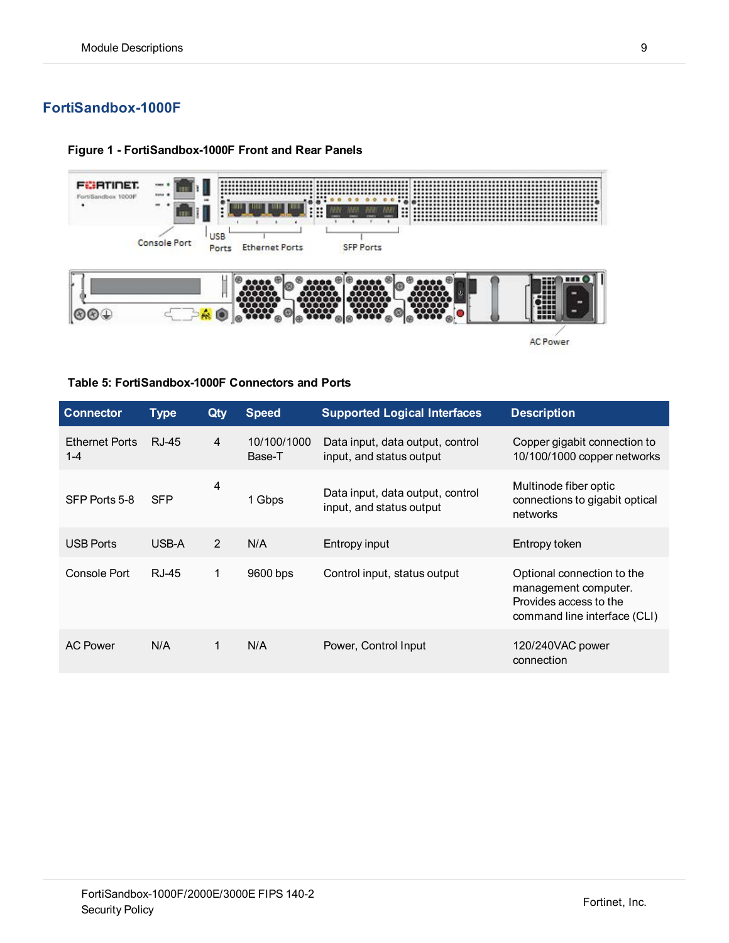## <span id="page-8-0"></span>**FortiSandbox-1000F**

#### **Figure 1 - FortiSandbox-1000F Front and Rear Panels**



**Table 5: FortiSandbox-1000F Connectors and Ports**

| <b>Connector</b>                 | <b>Type</b> | Qty            | <b>Speed</b>          | <b>Supported Logical Interfaces</b>                          | <b>Description</b>                                                                                           |
|----------------------------------|-------------|----------------|-----------------------|--------------------------------------------------------------|--------------------------------------------------------------------------------------------------------------|
| <b>Ethernet Ports</b><br>$1 - 4$ | RJ-45       | $\overline{4}$ | 10/100/1000<br>Base-T | Data input, data output, control<br>input, and status output | Copper gigabit connection to<br>10/100/1000 copper networks                                                  |
| SFP Ports 5-8                    | <b>SFP</b>  | 4              | 1 Gbps                | Data input, data output, control<br>input, and status output | Multinode fiber optic<br>connections to gigabit optical<br>networks                                          |
| <b>USB Ports</b>                 | USB-A       | 2              | N/A                   | Entropy input                                                | Entropy token                                                                                                |
| Console Port                     | RJ-45       | 1              | 9600 bps              | Control input, status output                                 | Optional connection to the<br>management computer.<br>Provides access to the<br>command line interface (CLI) |
| <b>AC Power</b>                  | N/A         | 1              | N/A                   | Power, Control Input                                         | 120/240VAC power<br>connection                                                                               |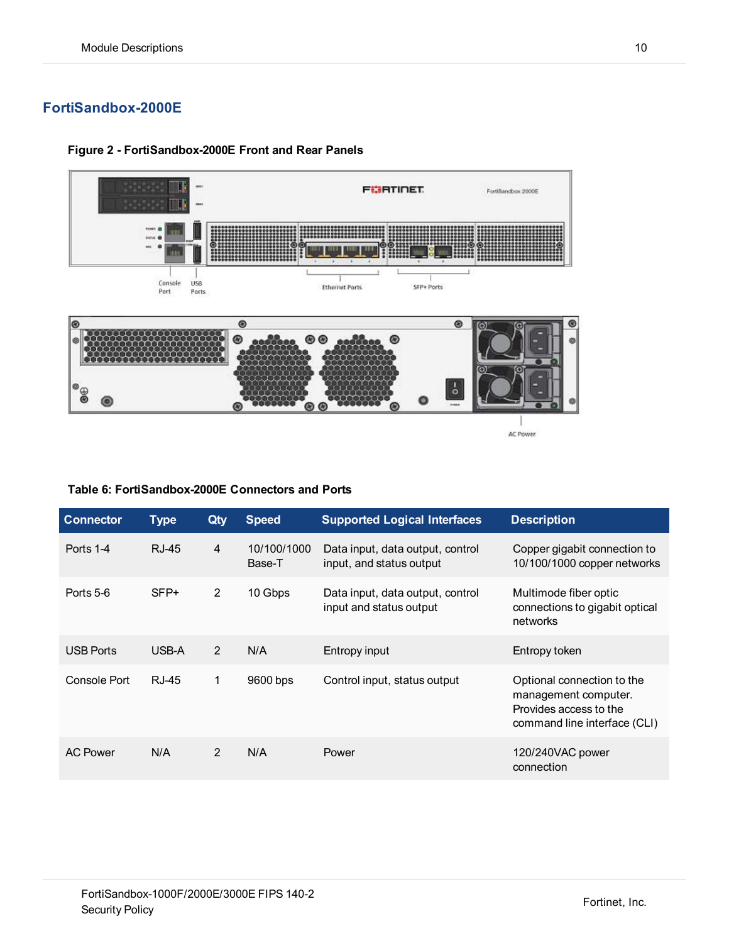## <span id="page-9-0"></span>**FortiSandbox-2000E**



#### **Figure 2 - FortiSandbox-2000E Front and Rear Panels**

#### **Table 6: FortiSandbox-2000E Connectors and Ports**

| <b>Connector</b> | <b>Type</b> | Qty            | <b>Speed</b>          | <b>Supported Logical Interfaces</b>                          | <b>Description</b>                                                                                           |
|------------------|-------------|----------------|-----------------------|--------------------------------------------------------------|--------------------------------------------------------------------------------------------------------------|
| Ports 1-4        | RJ-45       | $\overline{4}$ | 10/100/1000<br>Base-T | Data input, data output, control<br>input, and status output | Copper gigabit connection to<br>10/100/1000 copper networks                                                  |
| Ports 5-6        | $SFP+$      | $\overline{2}$ | 10 Gbps               | Data input, data output, control<br>input and status output  | Multimode fiber optic<br>connections to gigabit optical<br>networks                                          |
| <b>USB Ports</b> | USB-A       | $\overline{2}$ | N/A                   | Entropy input                                                | Entropy token                                                                                                |
| Console Port     | RJ-45       | 1              | 9600 bps              | Control input, status output                                 | Optional connection to the<br>management computer.<br>Provides access to the<br>command line interface (CLI) |
| <b>AC Power</b>  | N/A         | 2              | N/A                   | Power                                                        | 120/240VAC power<br>connection                                                                               |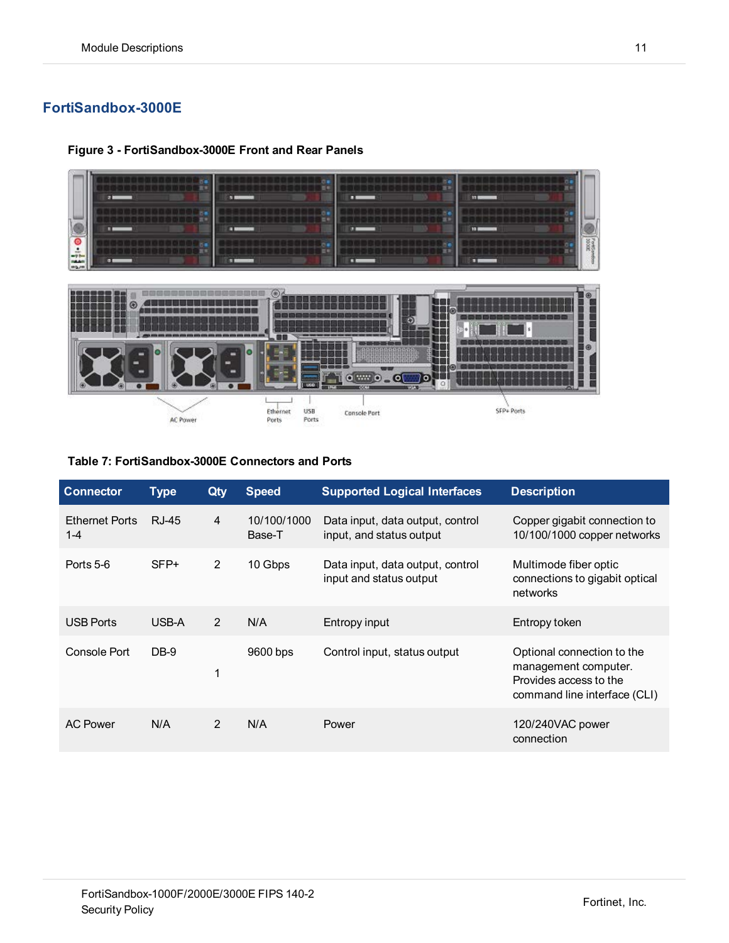## <span id="page-10-0"></span>**FortiSandbox-3000E**

 $_{\odot}$ <u> 1989 - Jan Shekarat, maso </u> ãH Ğ 45  $\circ$  $o$  with  $o_o$   $o$ 70 SFP+ Ports Ethernet<br>Ports USB<br>Ports Console Port AC Power

**Figure 3 - FortiSandbox-3000E Front and Rear Panels**

#### **Table 7: FortiSandbox-3000E Connectors and Ports**

| <b>Connector</b>                 | <b>Type</b> | Qty            | <b>Speed</b>          | <b>Supported Logical Interfaces</b>                          | <b>Description</b>                                                                                           |
|----------------------------------|-------------|----------------|-----------------------|--------------------------------------------------------------|--------------------------------------------------------------------------------------------------------------|
| <b>Ethernet Ports</b><br>$1 - 4$ | RJ-45       | 4              | 10/100/1000<br>Base-T | Data input, data output, control<br>input, and status output | Copper gigabit connection to<br>10/100/1000 copper networks                                                  |
| Ports 5-6                        | $SFP+$      | $\overline{2}$ | 10 Gbps               | Data input, data output, control<br>input and status output  | Multimode fiber optic<br>connections to gigabit optical<br>networks                                          |
| <b>USB Ports</b>                 | USB-A       | 2              | N/A                   | Entropy input                                                | Entropy token                                                                                                |
| Console Port                     | $DB-9$      | $\mathbf 1$    | 9600 bps              | Control input, status output                                 | Optional connection to the<br>management computer.<br>Provides access to the<br>command line interface (CLI) |
| <b>AC Power</b>                  | N/A         | $\mathcal{P}$  | N/A                   | Power                                                        | 120/240VAC power<br>connection                                                                               |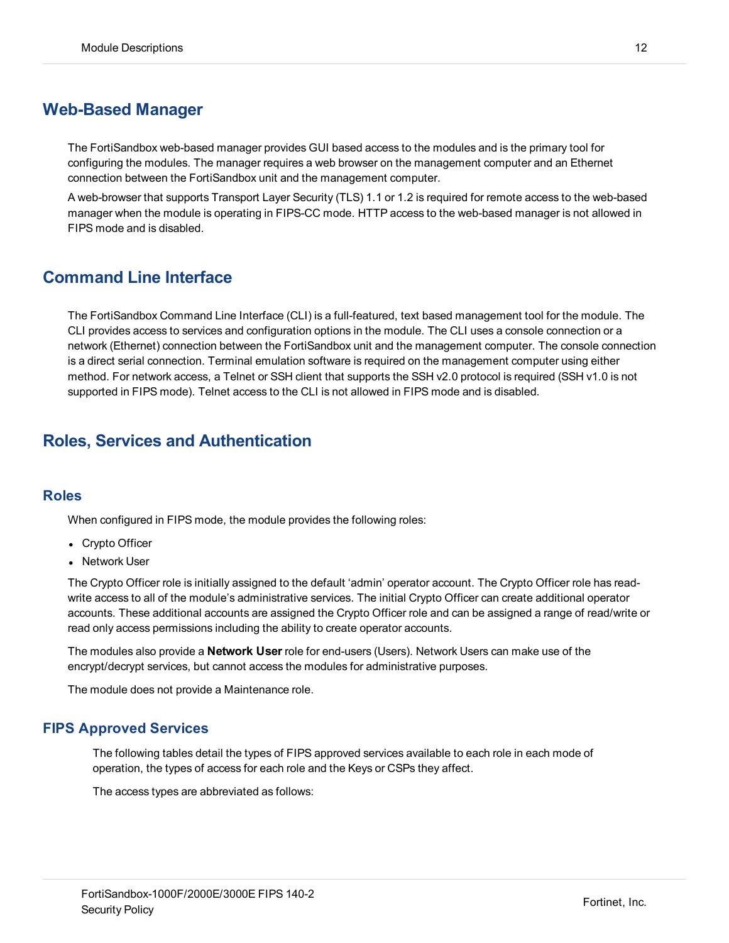## <span id="page-11-0"></span>**Web-Based Manager**

The FortiSandbox web-based manager provides GUI based access to the modules and is the primary tool for configuring the modules. The manager requires a web browser on the management computer and an Ethernet connection between the FortiSandbox unit and the management computer.

A web-browser that supports Transport Layer Security (TLS) 1.1 or 1.2 is required for remote access to the web-based manager when the module is operating in FIPS-CC mode. HTTP access to the web-based manager is not allowed in FIPS mode and is disabled.

## <span id="page-11-1"></span>**Command Line Interface**

The FortiSandbox Command Line Interface (CLI) is a full-featured, text based management tool for the module. The CLI provides access to services and configuration options in the module. The CLI uses a console connection or a network (Ethernet) connection between the FortiSandbox unit and the management computer. The console connection is a direct serial connection. Terminal emulation software is required on the management computer using either method. For network access, a Telnet or SSH client that supports the SSH v2.0 protocol is required (SSH v1.0 is not supported in FIPS mode). Telnet access to the CLI is not allowed in FIPS mode and is disabled.

# <span id="page-11-2"></span>**Roles, Services and Authentication**

#### <span id="page-11-3"></span>**Roles**

When configured in FIPS mode, the module provides the following roles:

- Crypto Officer
- Network User

The Crypto Officer role is initially assigned to the default 'admin' operator account. The Crypto Officer role has readwrite access to all of the module's administrative services. The initial Crypto Officer can create additional operator accounts. These additional accounts are assigned the Crypto Officer role and can be assigned a range of read/write or read only access permissions including the ability to create operator accounts.

The modules also provide a **Network User** role for end-users (Users). Network Users can make use of the encrypt/decrypt services, but cannot access the modules for administrative purposes.

The module does not provide a Maintenance role.

#### <span id="page-11-4"></span>**FIPS Approved Services**

The following tables detail the types of FIPS approved services available to each role in each mode of operation, the types of access for each role and the Keys or CSPs they affect.

The access types are abbreviated as follows: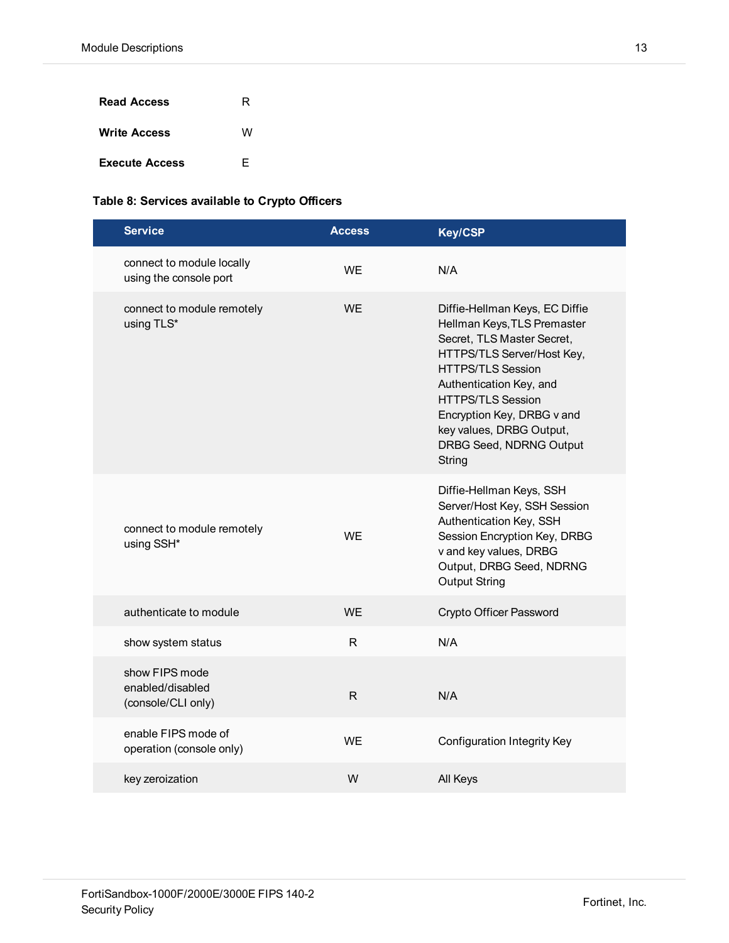| <b>Read Access</b>    | R |
|-----------------------|---|
| <b>Write Access</b>   | w |
| <b>Execute Access</b> | F |

#### **Table 8: Services available to Crypto Officers**

| <b>Service</b>                                           | <b>Access</b> | <b>Key/CSP</b>                                                                                                                                                                                                                                                                                              |
|----------------------------------------------------------|---------------|-------------------------------------------------------------------------------------------------------------------------------------------------------------------------------------------------------------------------------------------------------------------------------------------------------------|
| connect to module locally<br>using the console port      | <b>WE</b>     | N/A                                                                                                                                                                                                                                                                                                         |
| connect to module remotely<br>using TLS*                 | <b>WE</b>     | Diffie-Hellman Keys, EC Diffie<br>Hellman Keys, TLS Premaster<br>Secret, TLS Master Secret,<br>HTTPS/TLS Server/Host Key,<br><b>HTTPS/TLS Session</b><br>Authentication Key, and<br><b>HTTPS/TLS Session</b><br>Encryption Key, DRBG v and<br>key values, DRBG Output,<br>DRBG Seed, NDRNG Output<br>String |
| connect to module remotely<br>using SSH*                 | <b>WE</b>     | Diffie-Hellman Keys, SSH<br>Server/Host Key, SSH Session<br>Authentication Key, SSH<br>Session Encryption Key, DRBG<br>v and key values, DRBG<br>Output, DRBG Seed, NDRNG<br><b>Output String</b>                                                                                                           |
| authenticate to module                                   | <b>WF</b>     | Crypto Officer Password                                                                                                                                                                                                                                                                                     |
| show system status                                       | R             | N/A                                                                                                                                                                                                                                                                                                         |
| show FIPS mode<br>enabled/disabled<br>(console/CLI only) | R             | N/A                                                                                                                                                                                                                                                                                                         |
| enable FIPS mode of<br>operation (console only)          | WE.           | <b>Configuration Integrity Key</b>                                                                                                                                                                                                                                                                          |
| key zeroization                                          | W             | All Keys                                                                                                                                                                                                                                                                                                    |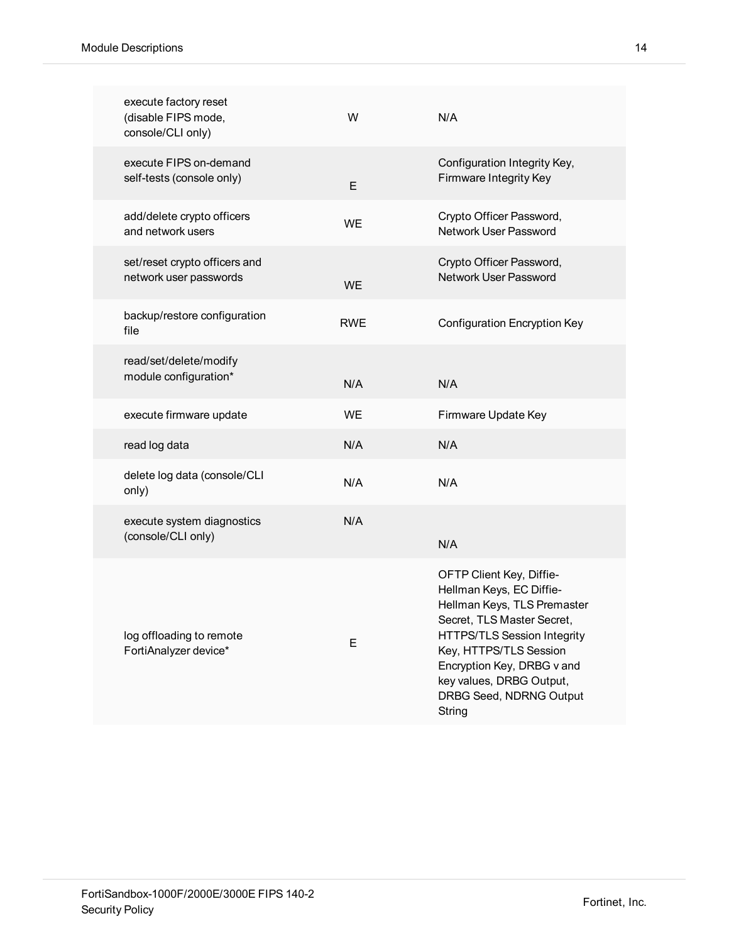| execute factory reset<br>(disable FIPS mode,<br>console/CLI only) | W          | N/A                                                                                                                                                                                                                                                                              |
|-------------------------------------------------------------------|------------|----------------------------------------------------------------------------------------------------------------------------------------------------------------------------------------------------------------------------------------------------------------------------------|
| execute FIPS on-demand<br>self-tests (console only)               | Е          | Configuration Integrity Key,<br>Firmware Integrity Key                                                                                                                                                                                                                           |
| add/delete crypto officers<br>and network users                   | <b>WE</b>  | Crypto Officer Password,<br><b>Network User Password</b>                                                                                                                                                                                                                         |
| set/reset crypto officers and<br>network user passwords           | <b>WE</b>  | Crypto Officer Password,<br><b>Network User Password</b>                                                                                                                                                                                                                         |
| backup/restore configuration<br>file                              | <b>RWE</b> | <b>Configuration Encryption Key</b>                                                                                                                                                                                                                                              |
| read/set/delete/modify<br>module configuration*                   | N/A        | N/A                                                                                                                                                                                                                                                                              |
| execute firmware update                                           | <b>WE</b>  | Firmware Update Key                                                                                                                                                                                                                                                              |
| read log data                                                     | N/A        | N/A                                                                                                                                                                                                                                                                              |
| delete log data (console/CLI<br>only)                             | N/A        | N/A                                                                                                                                                                                                                                                                              |
| execute system diagnostics<br>(console/CLI only)                  | N/A        | N/A                                                                                                                                                                                                                                                                              |
| log offloading to remote<br>FortiAnalyzer device*                 | Е          | OFTP Client Key, Diffie-<br>Hellman Keys, EC Diffie-<br>Hellman Keys, TLS Premaster<br>Secret, TLS Master Secret,<br><b>HTTPS/TLS Session Integrity</b><br>Key, HTTPS/TLS Session<br>Encryption Key, DRBG v and<br>key values, DRBG Output,<br>DRBG Seed, NDRNG Output<br>String |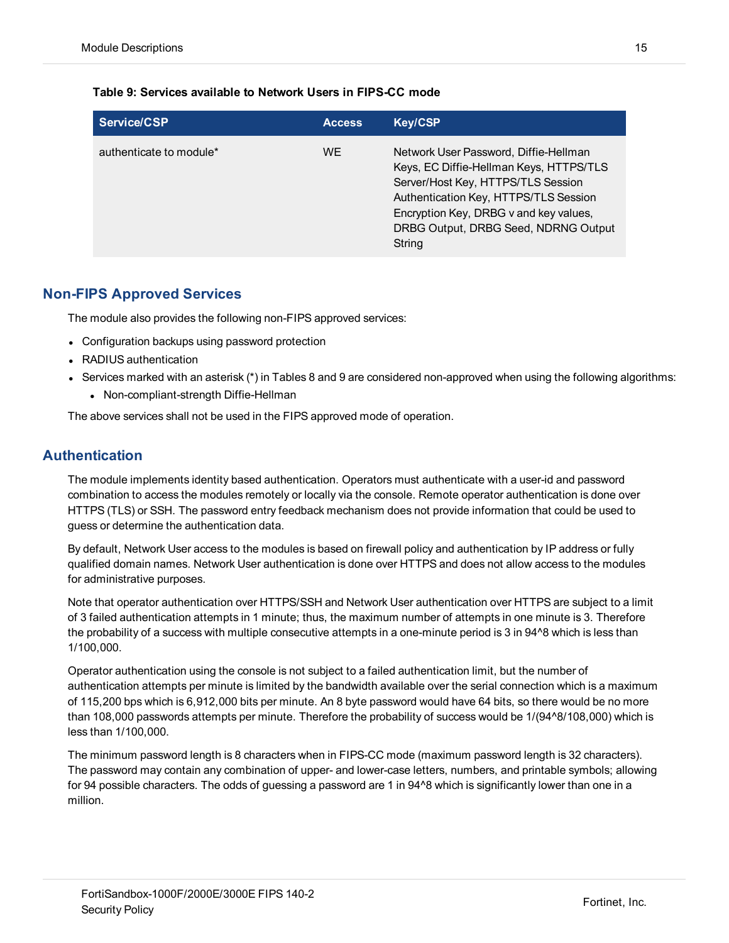#### **Table 9: Services available to Network Users in FIPS-CC mode**

| Service/CSP             | <b>Access</b> | <b>Key/CSP</b>                                                                                                                                                                                                                                              |
|-------------------------|---------------|-------------------------------------------------------------------------------------------------------------------------------------------------------------------------------------------------------------------------------------------------------------|
| authenticate to module* | WF.           | Network User Password, Diffie-Hellman<br>Keys, EC Diffie-Hellman Keys, HTTPS/TLS<br>Server/Host Key, HTTPS/TLS Session<br>Authentication Key, HTTPS/TLS Session<br>Encryption Key, DRBG v and key values,<br>DRBG Output, DRBG Seed, NDRNG Output<br>String |

#### <span id="page-14-0"></span>**Non-FIPS Approved Services**

The module also provides the following non-FIPS approved services:

- Configuration backups using password protection
- RADIUS authentication
- **Services marked with an asterisk (\*) in Tables 8 and 9 are considered non-approved when using the following algorithms:** 
	- Non-compliant-strength Diffie-Hellman

The above services shall not be used in the FIPS approved mode of operation.

#### <span id="page-14-1"></span>**Authentication**

The module implements identity based authentication. Operators must authenticate with a user-id and password combination to access the modules remotely or locally via the console. Remote operator authentication is done over HTTPS (TLS) or SSH. The password entry feedback mechanism does not provide information that could be used to guess or determine the authentication data.

By default, Network User access to the modules is based on firewall policy and authentication by IP address or fully qualified domain names. Network User authentication is done over HTTPS and does not allow access to the modules for administrative purposes.

Note that operator authentication over HTTPS/SSH and Network User authentication over HTTPS are subject to a limit of 3 failed authentication attempts in 1 minute; thus, the maximum number of attempts in one minute is 3. Therefore the probability of a success with multiple consecutive attempts in a one-minute period is 3 in 94^8 which is less than 1/100,000.

Operator authentication using the console is not subject to a failed authentication limit, but the number of authentication attempts per minute is limited by the bandwidth available over the serial connection which is a maximum of 115,200 bps which is 6,912,000 bits per minute. An 8 byte password would have 64 bits, so there would be no more than 108,000 passwords attempts per minute. Therefore the probability of success would be 1/(94^8/108,000) which is less than 1/100,000.

The minimum password length is 8 characters when in FIPS-CC mode (maximum password length is 32 characters). The password may contain any combination of upper- and lower-case letters, numbers, and printable symbols; allowing for 94 possible characters. The odds of guessing a password are 1 in 94^8 which is significantly lower than one in a million.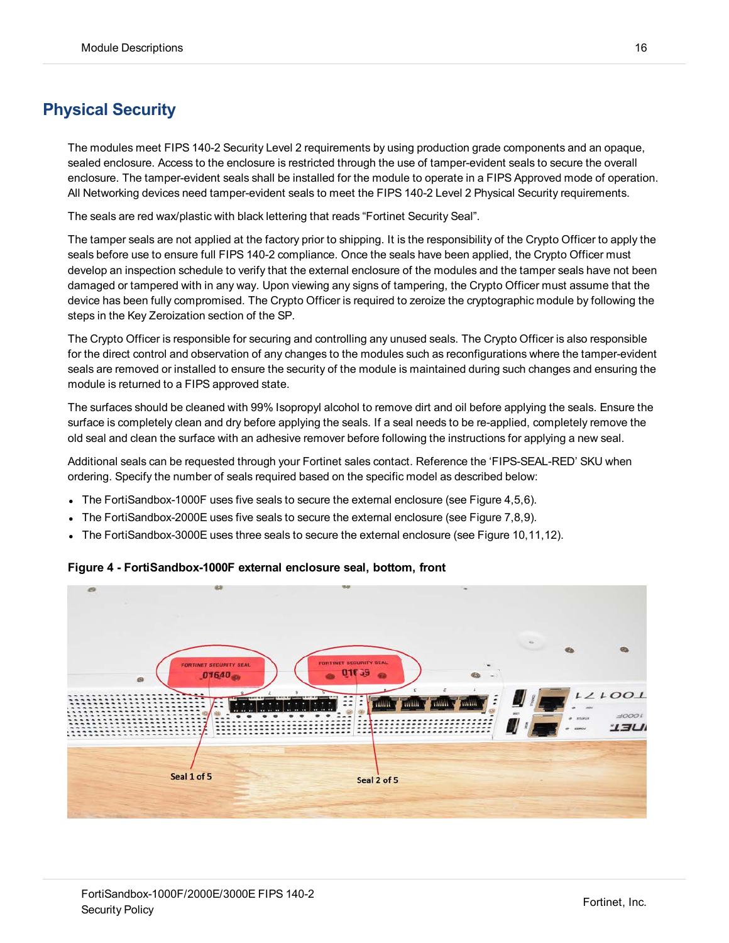# <span id="page-15-0"></span>**Physical Security**

The modules meet FIPS 140-2 Security Level 2 requirements by using production grade components and an opaque, sealed enclosure. Access to the enclosure is restricted through the use of tamper-evident seals to secure the overall enclosure. The tamper-evident seals shall be installed for the module to operate in a FIPS Approved mode of operation. All Networking devices need tamper-evident seals to meet the FIPS 140-2 Level 2 Physical Security requirements.

The seals are red wax/plastic with black lettering that reads "Fortinet Security Seal".

The tamper seals are not applied at the factory prior to shipping. It is the responsibility of the Crypto Officer to apply the seals before use to ensure full FIPS 140-2 compliance. Once the seals have been applied, the Crypto Officer must develop an inspection schedule to verify that the external enclosure of the modules and the tamper seals have not been damaged or tampered with in any way. Upon viewing any signs of tampering, the Crypto Officer must assume that the device has been fully compromised. The Crypto Officer is required to zeroize the cryptographic module by following the steps in the Key Zeroization section of the SP.

The Crypto Officer is responsible for securing and controlling any unused seals. The Crypto Officer is also responsible for the direct control and observation of any changes to the modules such as reconfigurations where the tamper-evident seals are removed or installed to ensure the security of the module is maintained during such changes and ensuring the module is returned to a FIPS approved state.

The surfaces should be cleaned with 99% Isopropyl alcohol to remove dirt and oil before applying the seals. Ensure the surface is completely clean and dry before applying the seals. If a seal needs to be re-applied, completely remove the old seal and clean the surface with an adhesive remover before following the instructions for applying a new seal.

Additional seals can be requested through your Fortinet sales contact. Reference the 'FIPS-SEAL-RED' SKU when ordering. Specify the number of seals required based on the specific model as described below:

- The FortiSandbox-1000F uses five seals to secure the external enclosure (see Figure 4,5,6).
- <sup>l</sup> The FortiSandbox-2000E uses five seals to secure the external enclosure (see Figure 7,8,9).
- <sup>l</sup> The FortiSandbox-3000E uses three seals to secure the external enclosure (see Figure 10,11,12).



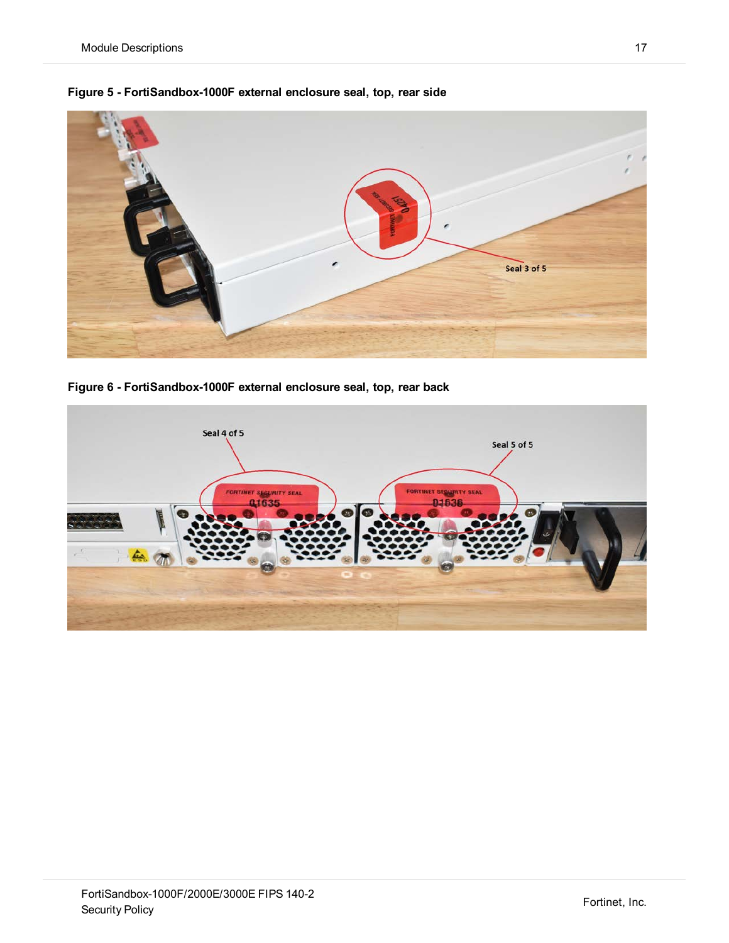

**Figure 5 - FortiSandbox-1000F external enclosure seal, top, rear side**

**Figure 6 - FortiSandbox-1000F external enclosure seal, top, rear back**

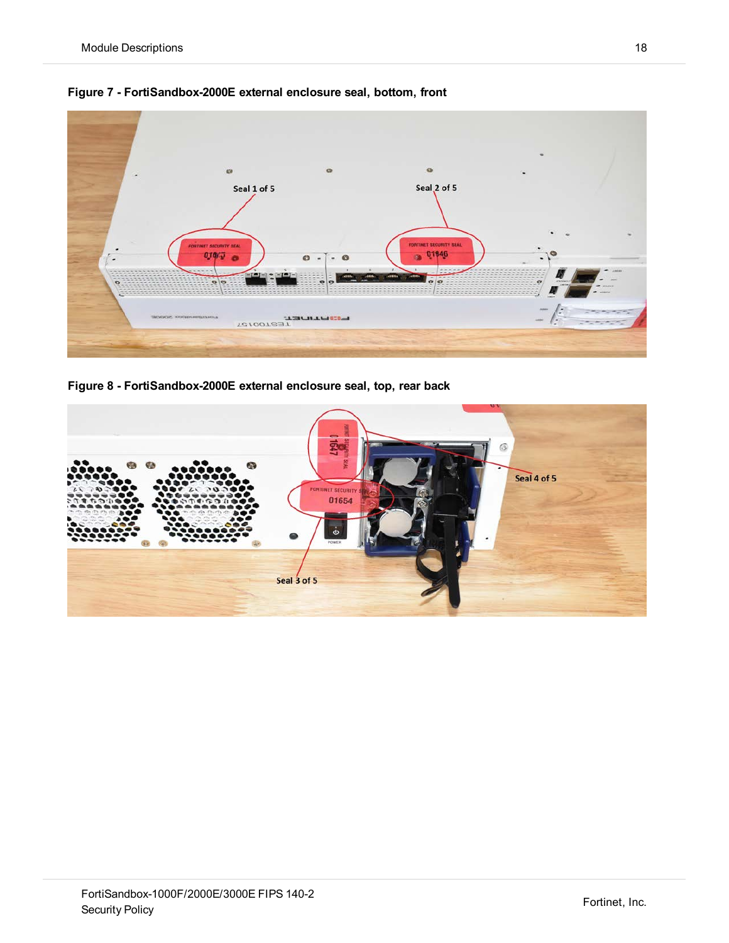



**Figure 8 - FortiSandbox-2000E external enclosure seal, top, rear back**

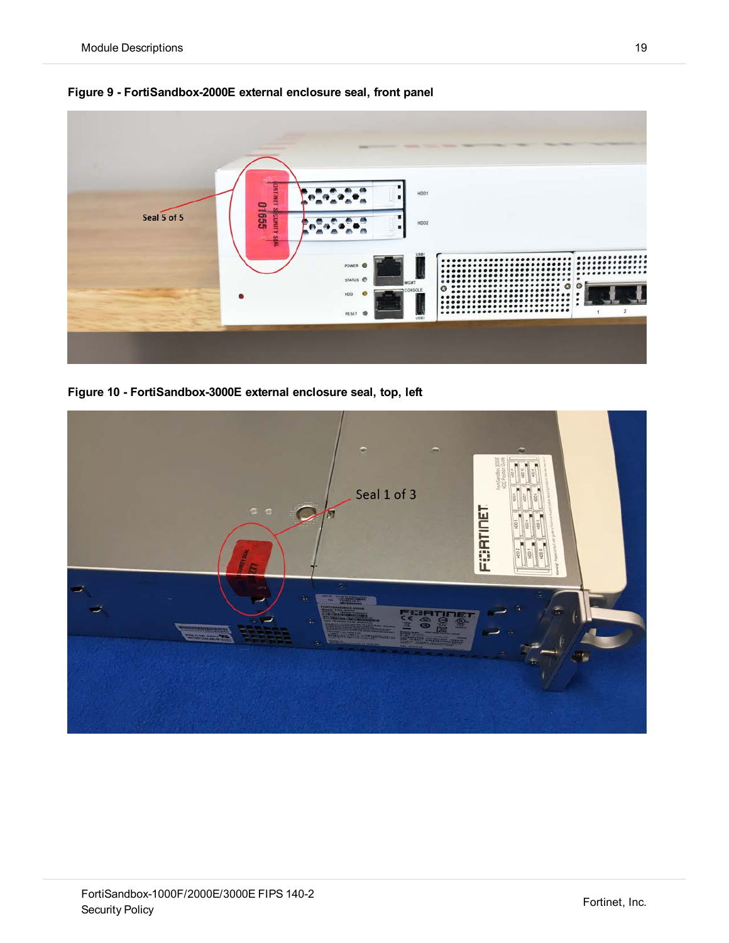

**Figure 9 - FortiSandbox-2000E external enclosure seal, front panel**

**Figure 10 - FortiSandbox-3000E external enclosure seal, top, left**

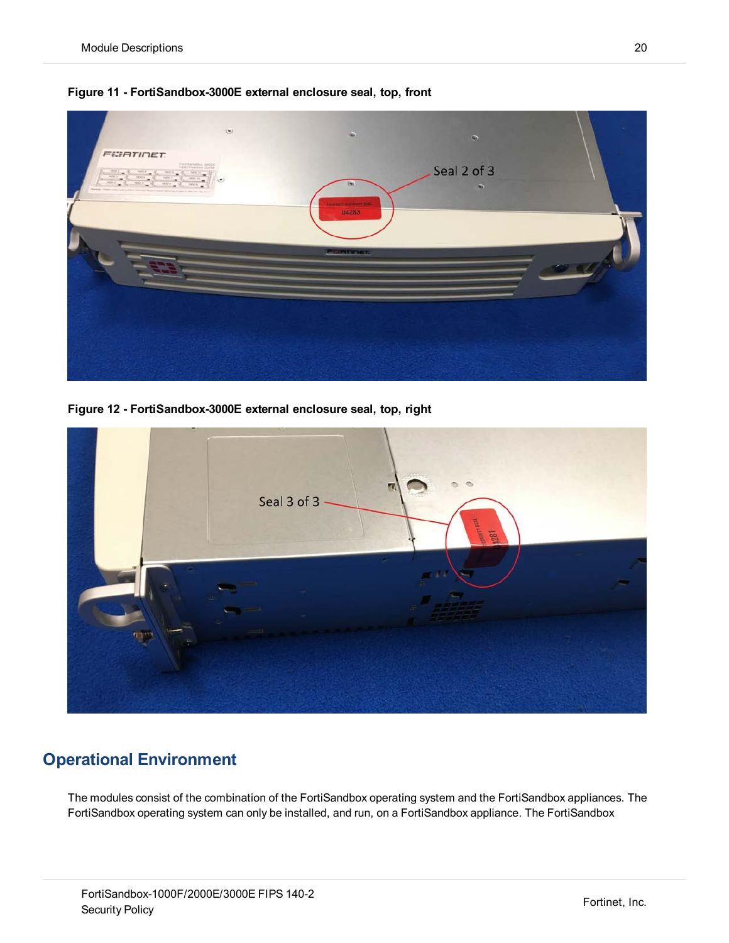

**Figure 11 - FortiSandbox-3000E external enclosure seal, top, front**

**Figure 12 - FortiSandbox-3000E external enclosure seal, top, right**



# <span id="page-19-0"></span>**Operational Environment**

The modules consist of the combination of the FortiSandbox operating system and the FortiSandbox appliances. The FortiSandbox operating system can only be installed, and run, on a FortiSandbox appliance. The FortiSandbox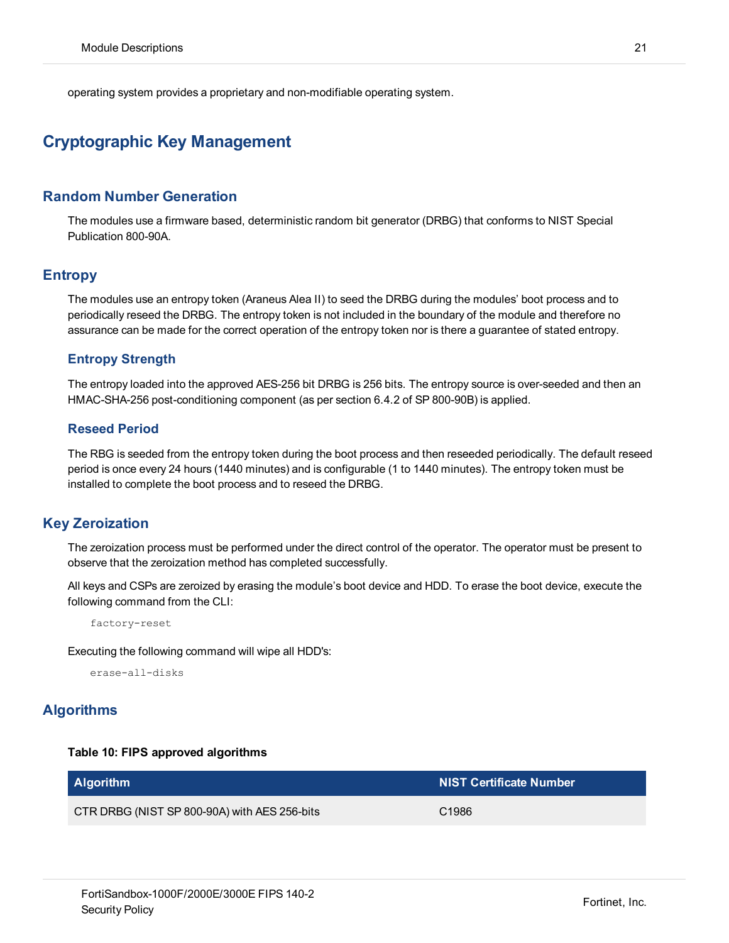operating system provides a proprietary and non-modifiable operating system.

## <span id="page-20-0"></span>**Cryptographic Key Management**

#### <span id="page-20-1"></span>**Random Number Generation**

The modules use a firmware based, deterministic random bit generator (DRBG) that conforms to NIST Special Publication 800-90A.

#### <span id="page-20-2"></span>**Entropy**

The modules use an entropy token (Araneus Alea II) to seed the DRBG during the modules' boot process and to periodically reseed the DRBG. The entropy token is not included in the boundary of the module and therefore no assurance can be made for the correct operation of the entropy token nor is there a guarantee of stated entropy.

#### **Entropy Strength**

The entropy loaded into the approved AES-256 bit DRBG is 256 bits. The entropy source is over-seeded and then an HMAC-SHA-256 post-conditioning component (as per section 6.4.2 of SP 800-90B) is applied.

#### **Reseed Period**

The RBG is seeded from the entropy token during the boot process and then reseeded periodically. The default reseed period is once every 24 hours (1440 minutes) and is configurable (1 to 1440 minutes). The entropy token must be installed to complete the boot process and to reseed the DRBG.

#### <span id="page-20-3"></span>**Key Zeroization**

The zeroization process must be performed under the direct control of the operator. The operator must be present to observe that the zeroization method has completed successfully.

All keys and CSPs are zeroized by erasing the module's boot device and HDD. To erase the boot device, execute the following command from the CLI:

factory-reset

Executing the following command will wipe all HDD's:

erase-all-disks

#### <span id="page-20-4"></span>**Algorithms**

#### **Table 10: FIPS approved algorithms**

| <b>Algorithm</b>                             | <b>NIST Certificate Number</b> |
|----------------------------------------------|--------------------------------|
| CTR DRBG (NIST SP 800-90A) with AES 256-bits | C <sub>1986</sub>              |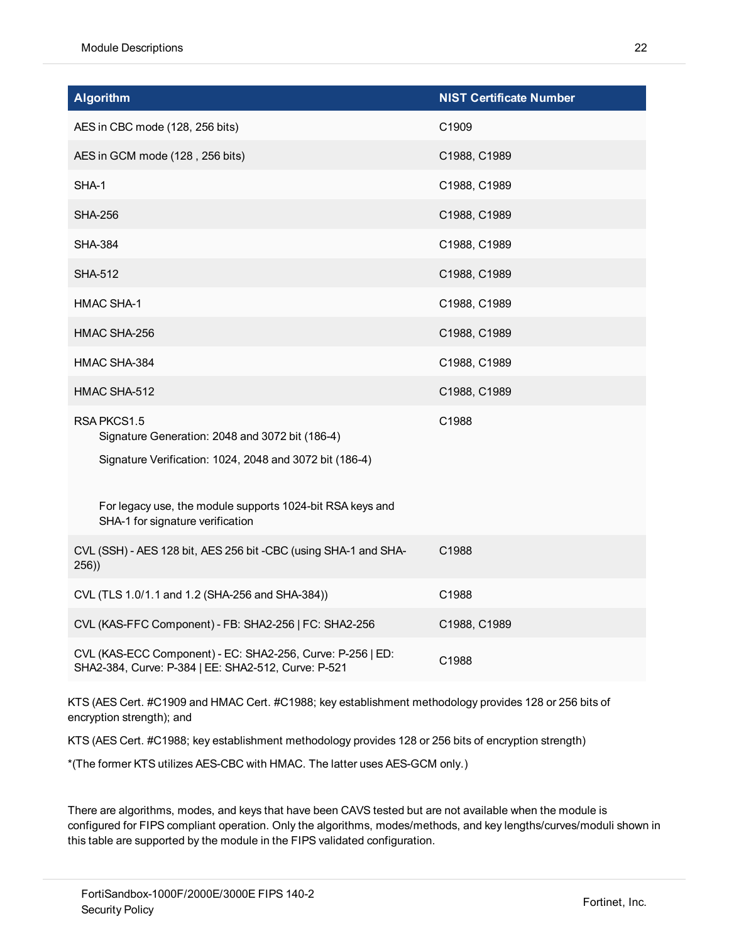| <b>Algorithm</b>                                                                                                  | <b>NIST Certificate Number</b> |
|-------------------------------------------------------------------------------------------------------------------|--------------------------------|
| AES in CBC mode (128, 256 bits)                                                                                   | C1909                          |
| AES in GCM mode (128, 256 bits)                                                                                   | C1988, C1989                   |
| SHA-1                                                                                                             | C1988, C1989                   |
| <b>SHA-256</b>                                                                                                    | C1988, C1989                   |
| <b>SHA-384</b>                                                                                                    | C1988, C1989                   |
| <b>SHA-512</b>                                                                                                    | C1988, C1989                   |
| <b>HMAC SHA-1</b>                                                                                                 | C1988, C1989                   |
| HMAC SHA-256                                                                                                      | C1988, C1989                   |
| HMAC SHA-384                                                                                                      | C1988, C1989                   |
| HMAC SHA-512                                                                                                      | C1988, C1989                   |
| RSA PKCS1.5<br>Signature Generation: 2048 and 3072 bit (186-4)                                                    | C1988                          |
| Signature Verification: 1024, 2048 and 3072 bit (186-4)                                                           |                                |
| For legacy use, the module supports 1024-bit RSA keys and<br>SHA-1 for signature verification                     |                                |
| CVL (SSH) - AES 128 bit, AES 256 bit -CBC (using SHA-1 and SHA-<br>256)                                           | C1988                          |
| CVL (TLS 1.0/1.1 and 1.2 (SHA-256 and SHA-384))                                                                   | C1988                          |
| CVL (KAS-FFC Component) - FB: SHA2-256   FC: SHA2-256                                                             | C1988, C1989                   |
| CVL (KAS-ECC Component) - EC: SHA2-256, Curve: P-256   ED:<br>SHA2-384, Curve: P-384   EE: SHA2-512, Curve: P-521 | C1988                          |

KTS (AES Cert. #C1909 and HMAC Cert. #C1988; key establishment methodology provides 128 or 256 bits of encryption strength); and

KTS (AES Cert. #C1988; key establishment methodology provides 128 or 256 bits of encryption strength)

\*(The former KTS utilizes AES-CBC with HMAC. The latter uses AES-GCM only.)

There are algorithms, modes, and keys that have been CAVS tested but are not available when the module is configured for FIPS compliant operation. Only the algorithms, modes/methods, and key lengths/curves/moduli shown in this table are supported by the module in the FIPS validated configuration.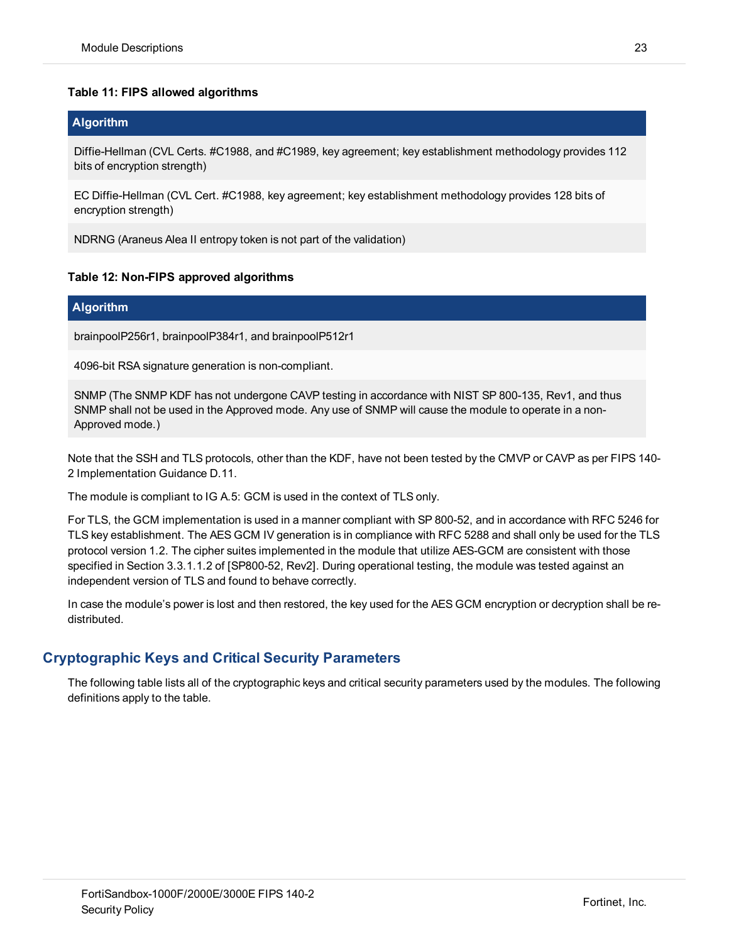#### **Table 11: FIPS allowed algorithms**

#### **Algorithm**

Diffie-Hellman (CVL Certs. #C1988, and #C1989, key agreement; key establishment methodology provides 112 bits of encryption strength)

EC Diffie-Hellman (CVL Cert. #C1988, key agreement; key establishment methodology provides 128 bits of encryption strength)

NDRNG (Araneus Alea II entropy token is not part of the validation)

#### **Table 12: Non-FIPS approved algorithms**

#### **Algorithm**

brainpoolP256r1, brainpoolP384r1, and brainpoolP512r1

4096-bit RSA signature generation is non-compliant.

SNMP (The SNMP KDF has not undergone CAVP testing in accordance with NIST SP 800-135, Rev1, and thus SNMP shall not be used in the Approved mode. Any use of SNMP will cause the module to operate in a non-Approved mode.)

Note that the SSH and TLS protocols, other than the KDF, have not been tested by the CMVP or CAVP as per FIPS 140- 2 Implementation Guidance D.11.

The module is compliant to IG A.5: GCM is used in the context of TLS only.

For TLS, the GCM implementation is used in a manner compliant with SP 800-52, and in accordance with RFC 5246 for TLS key establishment. The AES GCM IV generation is in compliance with RFC 5288 and shall only be used for the TLS protocol version 1.2. The cipher suites implemented in the module that utilize AES-GCM are consistent with those specified in Section 3.3.1.1.2 of [SP800-52, Rev2]. During operational testing, the module was tested against an independent version of TLS and found to behave correctly.

In case the module's power is lost and then restored, the key used for the AES GCM encryption or decryption shall be redistributed.

#### <span id="page-22-0"></span>**Cryptographic Keys and Critical Security Parameters**

The following table lists all of the cryptographic keys and critical security parameters used by the modules. The following definitions apply to the table.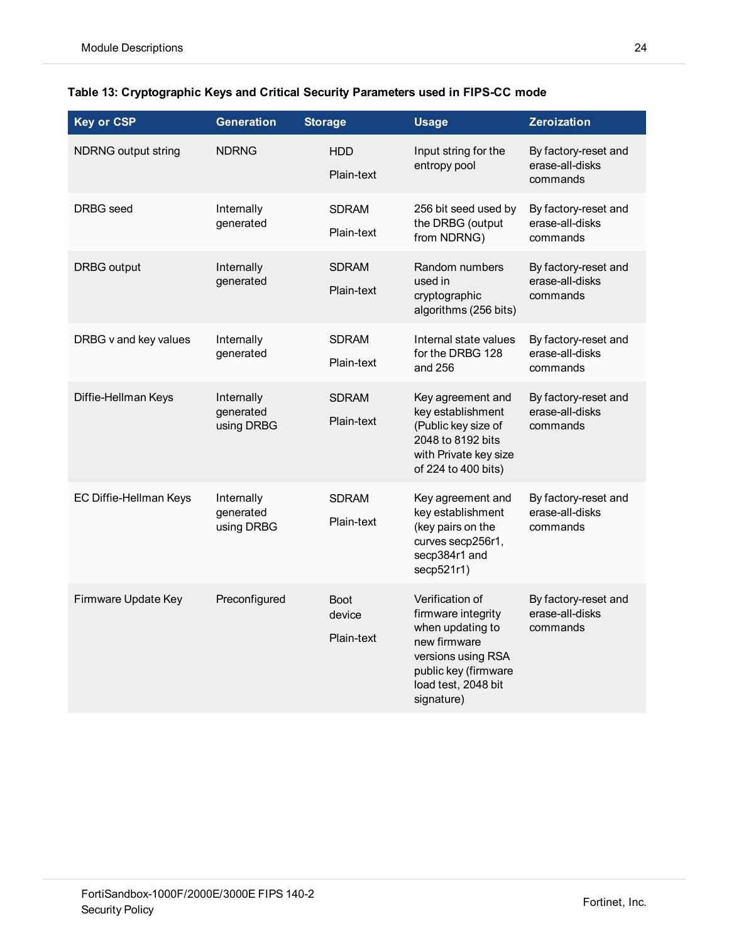| <b>Key or CSP</b>          | <b>Generation</b>                     | <b>Storage</b>                      | <b>Usage</b>                                                                                                                                                 | <b>Zeroization</b>                                  |
|----------------------------|---------------------------------------|-------------------------------------|--------------------------------------------------------------------------------------------------------------------------------------------------------------|-----------------------------------------------------|
| <b>NDRNG output string</b> | <b>NDRNG</b>                          | <b>HDD</b><br>Plain-text            | Input string for the<br>entropy pool                                                                                                                         | By factory-reset and<br>erase-all-disks<br>commands |
| DRBG seed                  | Internally<br>generated               | <b>SDRAM</b><br>Plain-text          | 256 bit seed used by<br>the DRBG (output<br>from NDRNG)                                                                                                      | By factory-reset and<br>erase-all-disks<br>commands |
| <b>DRBG</b> output         | Internally<br>generated               | <b>SDRAM</b><br>Plain-text          | Random numbers<br>used in<br>cryptographic<br>algorithms (256 bits)                                                                                          | By factory-reset and<br>erase-all-disks<br>commands |
| DRBG v and key values      | Internally<br>generated               | <b>SDRAM</b><br>Plain-text          | Internal state values<br>for the DRBG 128<br>and 256                                                                                                         | By factory-reset and<br>erase-all-disks<br>commands |
| Diffie-Hellman Keys        | Internally<br>generated<br>using DRBG | <b>SDRAM</b><br>Plain-text          | Key agreement and<br>key establishment<br>(Public key size of<br>2048 to 8192 bits<br>with Private key size<br>of 224 to 400 bits)                           | By factory-reset and<br>erase-all-disks<br>commands |
| EC Diffie-Hellman Keys     | Internally<br>generated<br>using DRBG | <b>SDRAM</b><br>Plain-text          | Key agreement and<br>key establishment<br>(key pairs on the<br>curves secp256r1,<br>secp384r1 and<br>secp521r1)                                              | By factory-reset and<br>erase-all-disks<br>commands |
| Firmware Update Key        | Preconfigured                         | <b>Boot</b><br>device<br>Plain-text | Verification of<br>firmware integrity<br>when updating to<br>new firmware<br>versions using RSA<br>public key (firmware<br>load test, 2048 bit<br>signature) | By factory-reset and<br>erase-all-disks<br>commands |

#### **Table 13: Cryptographic Keys and Critical Security Parameters used in FIPS-CC mode**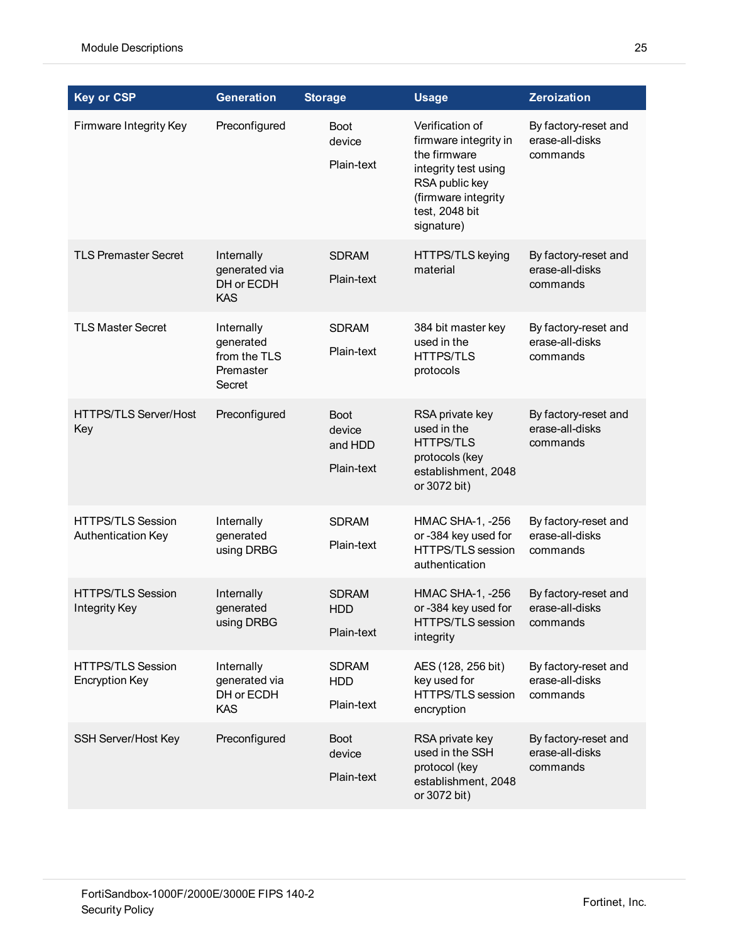| <b>Key or CSP</b>                                 | <b>Generation</b>                                              | <b>Storage</b>                                 | <b>Usage</b>                                                                                                                                              | <b>Zeroization</b>                                  |
|---------------------------------------------------|----------------------------------------------------------------|------------------------------------------------|-----------------------------------------------------------------------------------------------------------------------------------------------------------|-----------------------------------------------------|
| Firmware Integrity Key                            | Preconfigured                                                  | <b>Boot</b><br>device<br>Plain-text            | Verification of<br>firmware integrity in<br>the firmware<br>integrity test using<br>RSA public key<br>(firmware integrity<br>test, 2048 bit<br>signature) | By factory-reset and<br>erase-all-disks<br>commands |
| <b>TLS Premaster Secret</b>                       | Internally<br>generated via<br>DH or ECDH<br><b>KAS</b>        | <b>SDRAM</b><br>Plain-text                     | HTTPS/TLS keying<br>material                                                                                                                              | By factory-reset and<br>erase-all-disks<br>commands |
| <b>TLS Master Secret</b>                          | Internally<br>generated<br>from the TLS<br>Premaster<br>Secret | <b>SDRAM</b><br>Plain-text                     | 384 bit master key<br>used in the<br><b>HTTPS/TLS</b><br>protocols                                                                                        | By factory-reset and<br>erase-all-disks<br>commands |
| <b>HTTPS/TLS Server/Host</b><br>Key               | Preconfigured                                                  | <b>Boot</b><br>device<br>and HDD<br>Plain-text | RSA private key<br>used in the<br><b>HTTPS/TLS</b><br>protocols (key<br>establishment, 2048<br>or 3072 bit)                                               | By factory-reset and<br>erase-all-disks<br>commands |
| <b>HTTPS/TLS Session</b><br>Authentication Key    | Internally<br>generated<br>using DRBG                          | <b>SDRAM</b><br>Plain-text                     | HMAC SHA-1, -256<br>or -384 key used for<br>HTTPS/TLS session<br>authentication                                                                           | By factory-reset and<br>erase-all-disks<br>commands |
| <b>HTTPS/TLS Session</b><br><b>Integrity Key</b>  | Internally<br>generated<br>using DRBG                          | <b>SDRAM</b><br><b>HDD</b><br>Plain-text       | HMAC SHA-1, -256<br>or -384 key used for<br>HTTPS/TLS session<br>integrity                                                                                | By factory-reset and<br>erase-all-disks<br>commands |
| <b>HTTPS/TLS Session</b><br><b>Encryption Key</b> | Internally<br>generated via<br>DH or ECDH<br><b>KAS</b>        | <b>SDRAM</b><br><b>HDD</b><br>Plain-text       | AES (128, 256 bit)<br>key used for<br>HTTPS/TLS session<br>encryption                                                                                     | By factory-reset and<br>erase-all-disks<br>commands |
| SSH Server/Host Key                               | Preconfigured                                                  | <b>Boot</b><br>device<br>Plain-text            | RSA private key<br>used in the SSH<br>protocol (key<br>establishment, 2048<br>or 3072 bit)                                                                | By factory-reset and<br>erase-all-disks<br>commands |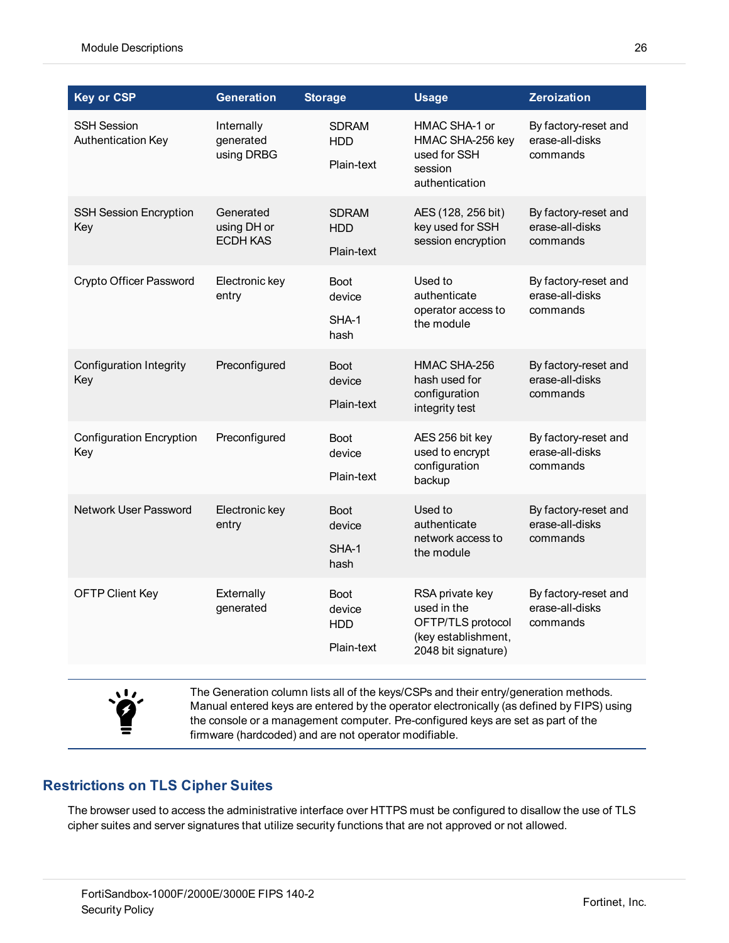| <b>Key or CSP</b>                        | <b>Generation</b>                           | <b>Storage</b>                                    | <b>Usage</b>                                                                                      | <b>Zeroization</b>                                  |
|------------------------------------------|---------------------------------------------|---------------------------------------------------|---------------------------------------------------------------------------------------------------|-----------------------------------------------------|
| <b>SSH Session</b><br>Authentication Key | Internally<br>generated<br>using DRBG       | <b>SDRAM</b><br>HDD<br>Plain-text                 | HMAC SHA-1 or<br>HMAC SHA-256 key<br>used for SSH<br>session<br>authentication                    | By factory-reset and<br>erase-all-disks<br>commands |
| <b>SSH Session Encryption</b><br>Key     | Generated<br>using DH or<br><b>ECDH KAS</b> | <b>SDRAM</b><br><b>HDD</b><br>Plain-text          | AES (128, 256 bit)<br>key used for SSH<br>session encryption                                      | By factory-reset and<br>erase-all-disks<br>commands |
| Crypto Officer Password                  | Electronic key<br>entry                     | <b>Boot</b><br>device<br>SHA-1<br>hash            | Used to<br>authenticate<br>operator access to<br>the module                                       | By factory-reset and<br>erase-all-disks<br>commands |
| <b>Configuration Integrity</b><br>Key    | Preconfigured                               | <b>Boot</b><br>device<br>Plain-text               | HMAC SHA-256<br>hash used for<br>configuration<br>integrity test                                  | By factory-reset and<br>erase-all-disks<br>commands |
| <b>Configuration Encryption</b><br>Key   | Preconfigured                               | <b>Boot</b><br>device<br>Plain-text               | AES 256 bit key<br>used to encrypt<br>configuration<br>backup                                     | By factory-reset and<br>erase-all-disks<br>commands |
| Network User Password                    | Electronic key<br>entry                     | <b>Boot</b><br>device<br>SHA-1<br>hash            | Used to<br>authenticate<br>network access to<br>the module                                        | By factory-reset and<br>erase-all-disks<br>commands |
| <b>OFTP Client Key</b>                   | Externally<br>generated                     | <b>Boot</b><br>device<br><b>HDD</b><br>Plain-text | RSA private key<br>used in the<br>OFTP/TLS protocol<br>(key establishment,<br>2048 bit signature) | By factory-reset and<br>erase-all-disks<br>commands |

# 、I,

The Generation column lists all of the keys/CSPs and their entry/generation methods. Manual entered keys are entered by the operator electronically (as defined by FIPS) using the console or a management computer. Pre-configured keys are set as part of the firmware (hardcoded) and are not operator modifiable.

## <span id="page-25-0"></span>**Restrictions on TLS Cipher Suites**

The browser used to access the administrative interface over HTTPS must be configured to disallow the use of TLS cipher suites and server signatures that utilize security functions that are not approved or not allowed.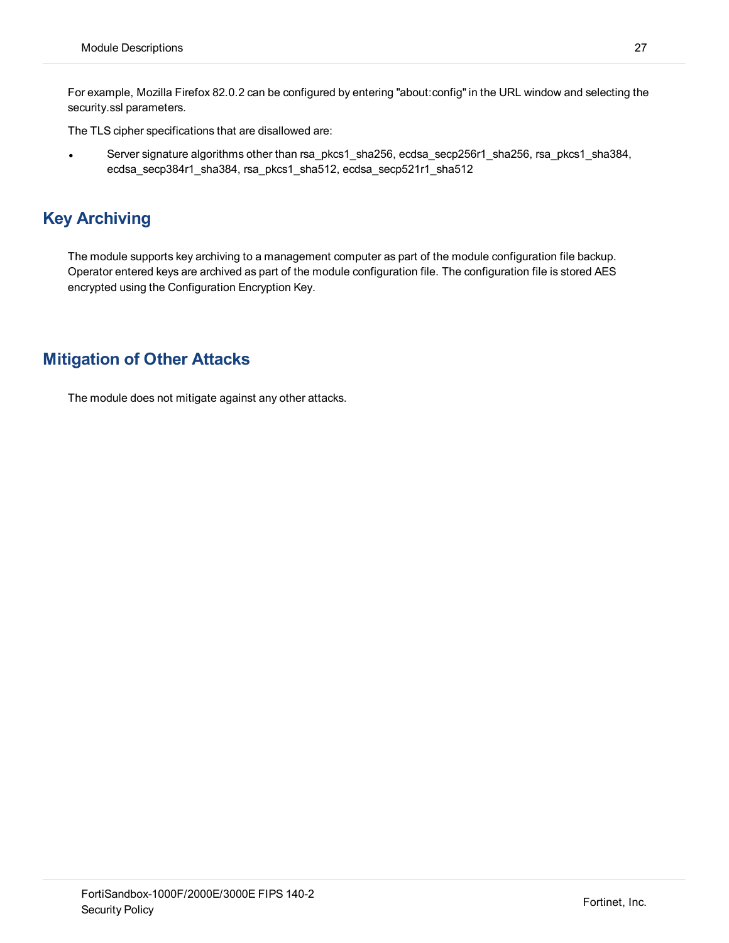For example, Mozilla Firefox 82.0.2 can be configured by entering "about:config" in the URL window and selecting the security.ssl parameters.

The TLS cipher specifications that are disallowed are:

<sup>l</sup> Server signature algorithms other than rsa\_pkcs1\_sha256, ecdsa\_secp256r1\_sha256, rsa\_pkcs1\_sha384, ecdsa\_secp384r1\_sha384, rsa\_pkcs1\_sha512, ecdsa\_secp521r1\_sha512

# <span id="page-26-0"></span>**Key Archiving**

The module supports key archiving to a management computer as part of the module configuration file backup. Operator entered keys are archived as part of the module configuration file. The configuration file is stored AES encrypted using the Configuration Encryption Key.

# <span id="page-26-1"></span>**Mitigation of Other Attacks**

The module does not mitigate against any other attacks.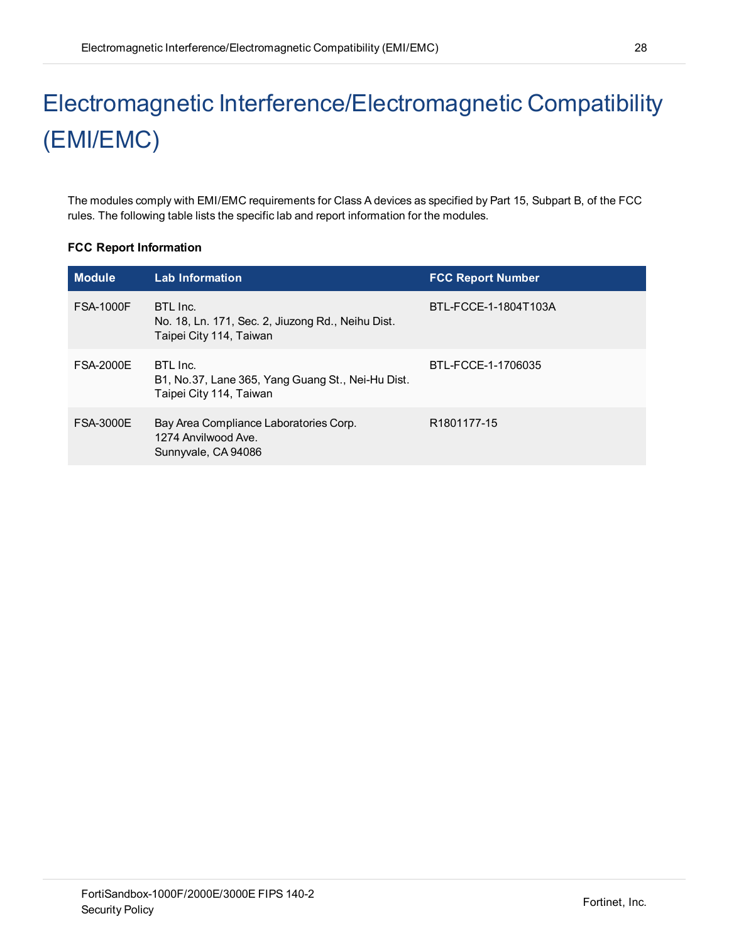# <span id="page-27-0"></span>Electromagnetic Interference/Electromagnetic Compatibility (EMI/EMC)

The modules comply with EMI/EMC requirements for Class A devices as specified by Part 15, Subpart B, of the FCC rules. The following table lists the specific lab and report information for the modules.

#### **FCC Report Information**

| <b>Module</b>    | <b>Lab Information</b>                                                                   | <b>FCC Report Number</b> |
|------------------|------------------------------------------------------------------------------------------|--------------------------|
| <b>FSA-1000F</b> | BTL Inc.<br>No. 18, Ln. 171, Sec. 2, Jiuzong Rd., Neihu Dist.<br>Taipei City 114, Taiwan | BTL-FCCE-1-1804T103A     |
| <b>FSA-2000E</b> | BTL Inc.<br>B1, No.37, Lane 365, Yang Guang St., Nei-Hu Dist.<br>Taipei City 114, Taiwan | BTL-FCCF-1-1706035       |
| <b>FSA-3000E</b> | Bay Area Compliance Laboratories Corp.<br>1274 Anvilwood Ave.<br>Sunnyvale, CA 94086     | R <sub>1801177-15</sub>  |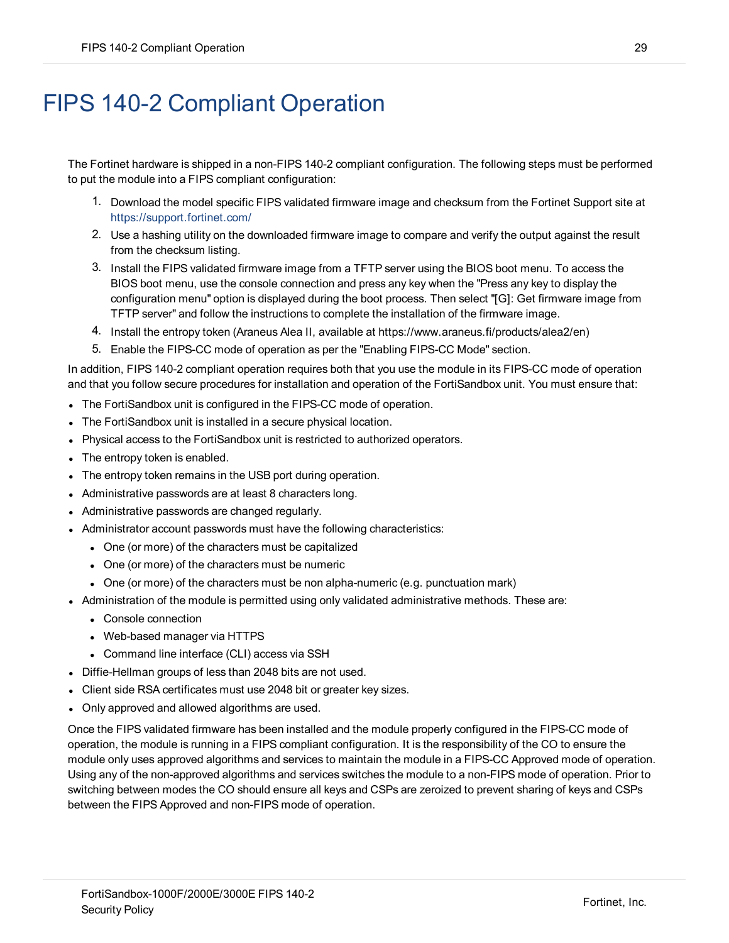# <span id="page-28-0"></span>FIPS 140-2 Compliant Operation

The Fortinet hardware is shipped in a non-FIPS 140-2 compliant configuration. The following steps must be performed to put the module into a FIPS compliant configuration:

- 1. Download the model specific FIPS validated firmware image and checksum from the Fortinet Support site at <https://support.fortinet.com/>
- 2. Use a hashing utility on the downloaded firmware image to compare and verify the output against the result from the checksum listing.
- 3. Install the FIPS validated firmware image from a TFTP server using the BIOS boot menu. To access the BIOS boot menu, use the console connection and press any key when the "Press any key to display the configuration menu" option is displayed during the boot process. Then select "[G]: Get firmware image from TFTP server" and follow the instructions to complete the installation of the firmware image.
- 4. Install the entropy token (Araneus Alea II, available at https://www.araneus.fi/products/alea2/en)
- 5. Enable the FIPS-CC mode of operation as per the "Enabling FIPS-CC Mode" section.

In addition, FIPS 140-2 compliant operation requires both that you use the module in its FIPS-CC mode of operation and that you follow secure procedures for installation and operation of the FortiSandbox unit. You must ensure that:

- The FortiSandbox unit is configured in the FIPS-CC mode of operation.
- The FortiSandbox unit is installed in a secure physical location.
- <sup>l</sup> Physical access to the FortiSandbox unit is restricted to authorized operators.
- The entropy token is enabled.
- The entropy token remains in the USB port during operation.
- Administrative passwords are at least 8 characters long.
- Administrative passwords are changed regularly.
- Administrator account passwords must have the following characteristics:
	- One (or more) of the characters must be capitalized
	- One (or more) of the characters must be numeric
	- One (or more) of the characters must be non alpha-numeric (e.g. punctuation mark)
- Administration of the module is permitted using only validated administrative methods. These are:
	- Console connection
	- Web-based manager via HTTPS
	- Command line interface (CLI) access via SSH
- Diffie-Hellman groups of less than 2048 bits are not used.
- Client side RSA certificates must use 2048 bit or greater key sizes.
- Only approved and allowed algorithms are used.

Once the FIPS validated firmware has been installed and the module properly configured in the FIPS-CC mode of operation, the module is running in a FIPS compliant configuration. It is the responsibility of the CO to ensure the module only uses approved algorithms and services to maintain the module in a FIPS-CC Approved mode of operation. Using any of the non-approved algorithms and services switches the module to a non-FIPS mode of operation. Prior to switching between modes the CO should ensure all keys and CSPs are zeroized to prevent sharing of keys and CSPs between the FIPS Approved and non-FIPS mode of operation.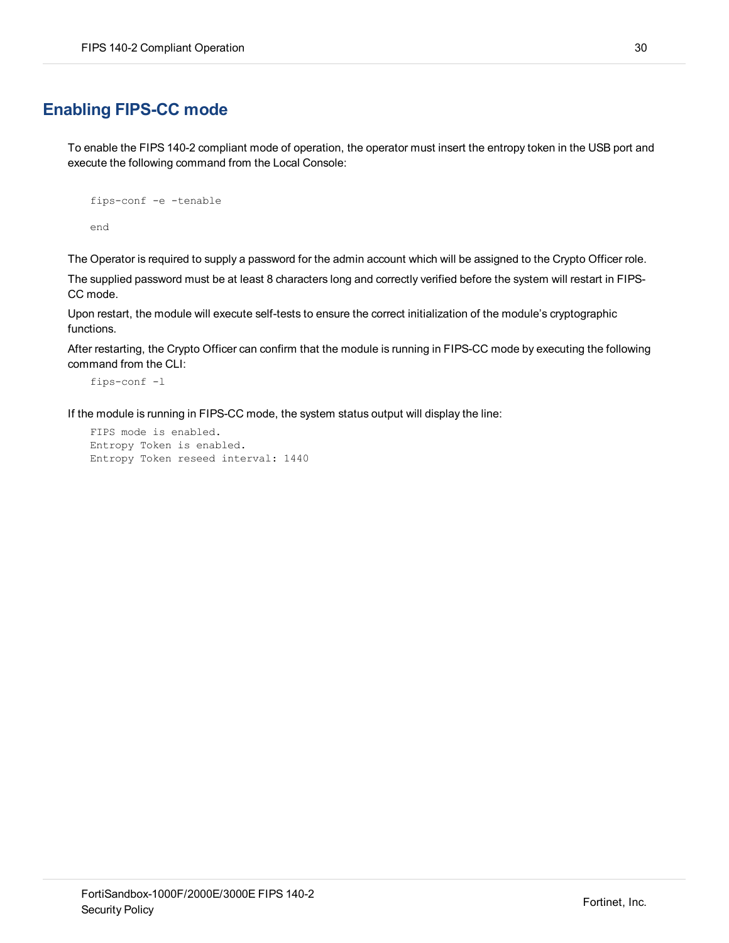# <span id="page-29-0"></span>**Enabling FIPS-CC mode**

To enable the FIPS 140-2 compliant mode of operation, the operator must insert the entropy token in the USB port and execute the following command from the Local Console:

```
fips-conf -e -tenable
end
```
The Operator is required to supply a password for the admin account which will be assigned to the Crypto Officer role.

The supplied password must be at least 8 characters long and correctly verified before the system will restart in FIPS-CC mode.

Upon restart, the module will execute self-tests to ensure the correct initialization of the module's cryptographic functions.

After restarting, the Crypto Officer can confirm that the module is running in FIPS-CC mode by executing the following command from the CLI:

```
fips-conf -l
```
If the module is running in FIPS-CC mode, the system status output will display the line:

```
FIPS mode is enabled.
Entropy Token is enabled.
Entropy Token reseed interval: 1440
```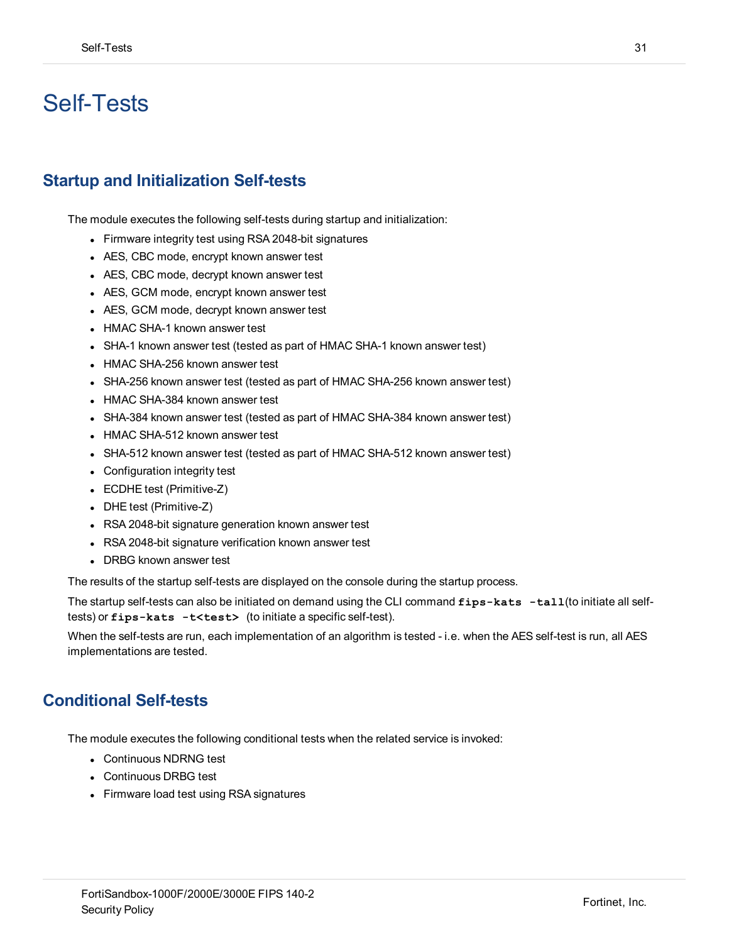# <span id="page-30-0"></span>Self-Tests

## <span id="page-30-1"></span>**Startup and Initialization Self-tests**

The module executes the following self-tests during startup and initialization:

- Firmware integrity test using RSA 2048-bit signatures
- AES, CBC mode, encrypt known answer test
- AES, CBC mode, decrypt known answer test
- AES, GCM mode, encrypt known answer test
- AES, GCM mode, decrypt known answer test
- HMAC SHA-1 known answer test
- SHA-1 known answer test (tested as part of HMAC SHA-1 known answer test)
- HMAC SHA-256 known answer test
- SHA-256 known answer test (tested as part of HMAC SHA-256 known answer test)
- HMAC SHA-384 known answer test
- SHA-384 known answer test (tested as part of HMAC SHA-384 known answer test)
- HMAC SHA-512 known answer test
- SHA-512 known answer test (tested as part of HMAC SHA-512 known answer test)
- Configuration integrity test
- ECDHE test (Primitive-Z)
- DHE test (Primitive-Z)
- RSA 2048-bit signature generation known answer test
- RSA 2048-bit signature verification known answer test
- DRBG known answer test

The results of the startup self-tests are displayed on the console during the startup process.

The startup self-tests can also be initiated on demand using the CLI command **fips-kats -tall**(to initiate all selftests) or **fips-kats -t<test>** (to initiate a specific self-test).

When the self-tests are run, each implementation of an algorithm is tested - i.e. when the AES self-test is run, all AES implementations are tested.

### <span id="page-30-2"></span>**Conditional Self-tests**

The module executes the following conditional tests when the related service is invoked:

- Continuous NDRNG test
- Continuous DRBG test
- Firmware load test using RSA signatures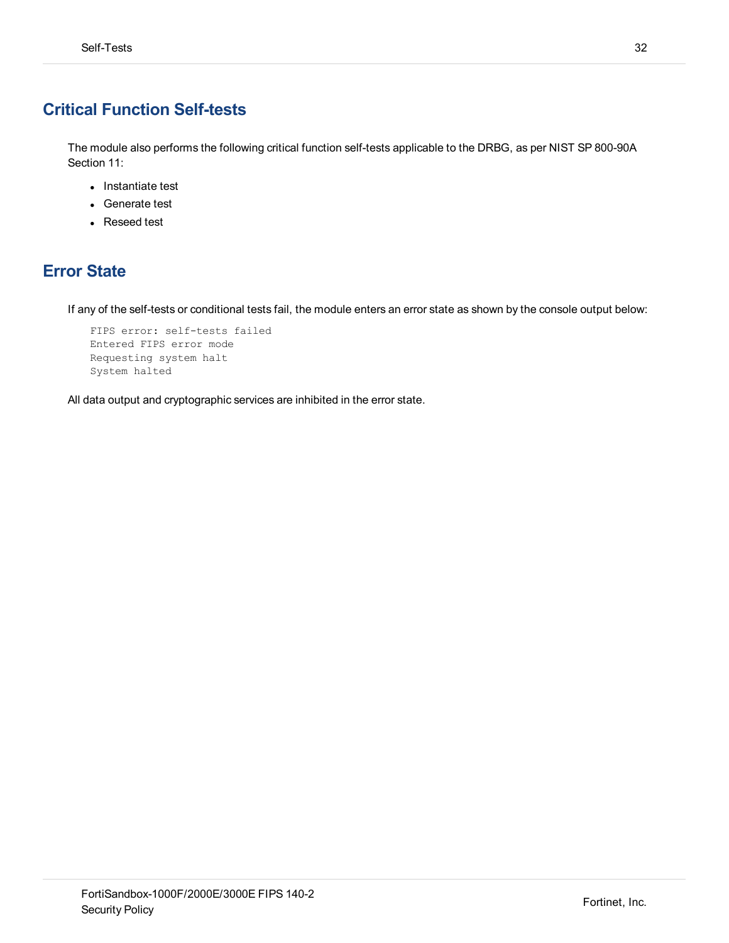# <span id="page-31-0"></span>**Critical Function Self-tests**

The module also performs the following critical function self-tests applicable to the DRBG, as per NIST SP 800-90A Section 11:

- Instantiate test
- Generate test
- Reseed test

# <span id="page-31-1"></span>**Error State**

If any of the self-tests or conditional tests fail, the module enters an error state as shown by the console output below:

```
FIPS error: self-tests failed
Entered FIPS error mode
Requesting system halt
System halted
```
All data output and cryptographic services are inhibited in the error state.